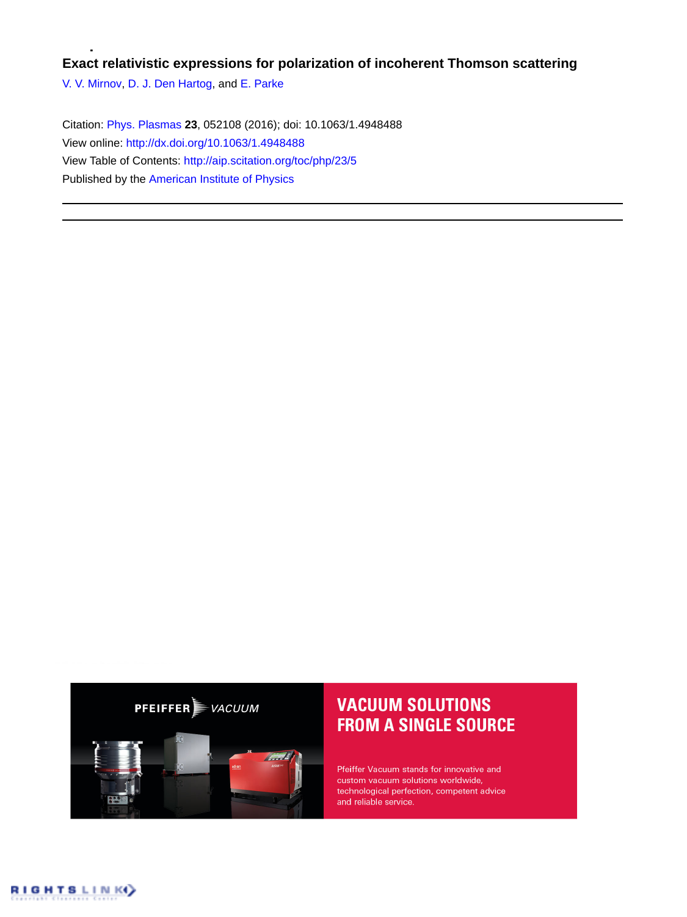## **Exact relativistic expressions for polarization of incoherent Thomson scattering**

[V. V. Mirnov,](http://aip.scitation.org/author/Mirnov%2C+V+V) [D. J. Den Hartog,](http://aip.scitation.org/author/den+Hartog%2C+D+J) and [E. Parke](http://aip.scitation.org/author/Parke%2C+E)

Citation: [Phys. Plasmas](/loi/php) **23**, 052108 (2016); doi: 10.1063/1.4948488 View online: <http://dx.doi.org/10.1063/1.4948488> View Table of Contents: <http://aip.scitation.org/toc/php/23/5> Published by the [American Institute of Physics](http://aip.scitation.org/publisher/)



# **VACUUM SOLUTIONS FROM A SINGLE SOURCE**

Pfeiffer Vacuum stands for innovative and custom vacuum solutions worldwide, technological perfection, competent advice and reliable service.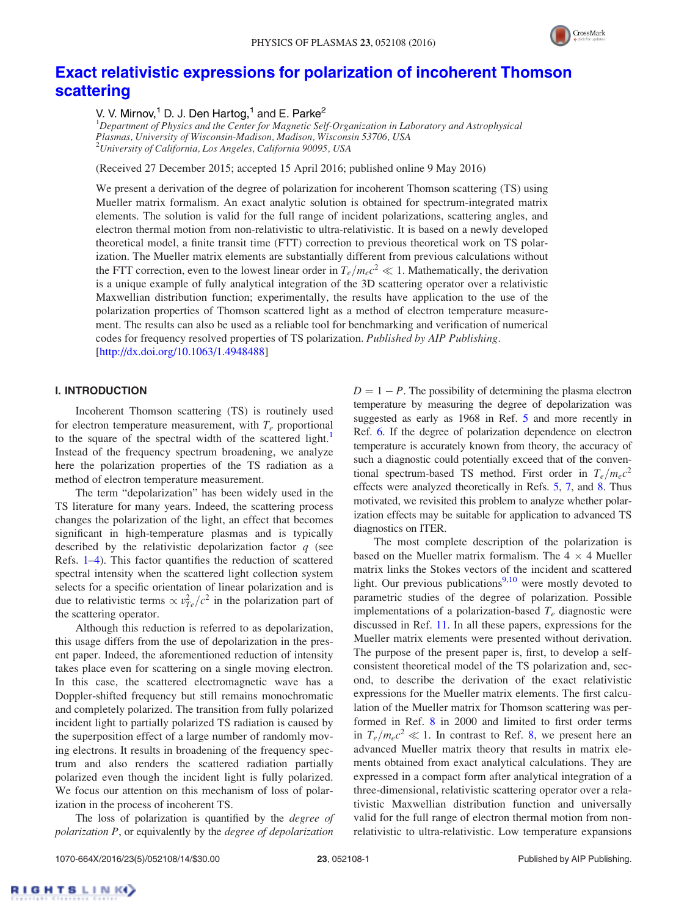

## [Exact relativistic expressions for polarization of incoherent Thomson](http://dx.doi.org/10.1063/1.4948488) [scattering](http://dx.doi.org/10.1063/1.4948488)

V. V. Mirnov,<sup>1</sup> D. J. Den Hartog,<sup>1</sup> and E. Parke<sup>2</sup>

<sup>1</sup>Department of Physics and the Center for Magnetic Self-Organization in Laboratory and Astrophysical Plasmas, University of Wisconsin-Madison, Madison, Wisconsin 53706, USA <sup>2</sup>University of California, Los Angeles, California 90095, USA

(Received 27 December 2015; accepted 15 April 2016; published online 9 May 2016)

We present a derivation of the degree of polarization for incoherent Thomson scattering (TS) using Mueller matrix formalism. An exact analytic solution is obtained for spectrum-integrated matrix elements. The solution is valid for the full range of incident polarizations, scattering angles, and electron thermal motion from non-relativistic to ultra-relativistic. It is based on a newly developed theoretical model, a finite transit time (FTT) correction to previous theoretical work on TS polarization. The Mueller matrix elements are substantially different from previous calculations without the FTT correction, even to the lowest linear order in  $T_e/m_ec^2 \ll 1$ . Mathematically, the derivation is a unique example of fully analytical integration of the 3D scattering operator over a relativistic Maxwellian distribution function; experimentally, the results have application to the use of the polarization properties of Thomson scattered light as a method of electron temperature measurement. The results can also be used as a reliable tool for benchmarking and verification of numerical codes for frequency resolved properties of TS polarization. Published by AIP Publishing. [\[http://dx.doi.org/10.1063/1.4948488](http://dx.doi.org/10.1063/1.4948488)]

### I. INTRODUCTION

Incoherent Thomson scattering (TS) is routinely used for electron temperature measurement, with  $T_e$  proportional to the square of the spectral width of the scattered light.<sup>[1](#page-13-0)</sup> Instead of the frequency spectrum broadening, we analyze here the polarization properties of the TS radiation as a method of electron temperature measurement.

The term "depolarization" has been widely used in the TS literature for many years. Indeed, the scattering process changes the polarization of the light, an effect that becomes significant in high-temperature plasmas and is typically described by the relativistic depolarization factor  $q$  (see Refs. [1–4](#page-13-0)). This factor quantifies the reduction of scattered spectral intensity when the scattered light collection system selects for a specific orientation of linear polarization and is due to relativistic terms  $\propto v_{Te}^2/c^2$  in the polarization part of the scattering operator.

Although this reduction is referred to as depolarization, this usage differs from the use of depolarization in the present paper. Indeed, the aforementioned reduction of intensity takes place even for scattering on a single moving electron. In this case, the scattered electromagnetic wave has a Doppler-shifted frequency but still remains monochromatic and completely polarized. The transition from fully polarized incident light to partially polarized TS radiation is caused by the superposition effect of a large number of randomly moving electrons. It results in broadening of the frequency spectrum and also renders the scattered radiation partially polarized even though the incident light is fully polarized. We focus our attention on this mechanism of loss of polarization in the process of incoherent TS.

The loss of polarization is quantified by the *degree of* polarization P, or equivalently by the degree of depolarization  $D = 1 - P$ . The possibility of determining the plasma electron temperature by measuring the degree of depolarization was suggested as early as 1968 in Ref. [5](#page-13-0) and more recently in Ref. [6](#page-13-0). If the degree of polarization dependence on electron temperature is accurately known from theory, the accuracy of such a diagnostic could potentially exceed that of the conventional spectrum-based TS method. First order in  $T_e/m_e c^2$ effects were analyzed theoretically in Refs. [5](#page-13-0), [7,](#page-13-0) and [8](#page-13-0). Thus motivated, we revisited this problem to analyze whether polarization effects may be suitable for application to advanced TS diagnostics on ITER.

The most complete description of the polarization is based on the Mueller matrix formalism. The  $4 \times 4$  Mueller matrix links the Stokes vectors of the incident and scattered light. Our previous publications $9,10$  were mostly devoted to parametric studies of the degree of polarization. Possible implementations of a polarization-based  $T_e$  diagnostic were discussed in Ref. [11](#page-13-0). In all these papers, expressions for the Mueller matrix elements were presented without derivation. The purpose of the present paper is, first, to develop a selfconsistent theoretical model of the TS polarization and, second, to describe the derivation of the exact relativistic expressions for the Mueller matrix elements. The first calculation of the Mueller matrix for Thomson scattering was performed in Ref. [8](#page-13-0) in 2000 and limited to first order terms in  $T_e/m_ec^2 \ll 1$ . In contrast to Ref. [8](#page-13-0), we present here an advanced Mueller matrix theory that results in matrix elements obtained from exact analytical calculations. They are expressed in a compact form after analytical integration of a three-dimensional, relativistic scattering operator over a relativistic Maxwellian distribution function and universally valid for the full range of electron thermal motion from nonrelativistic to ultra-relativistic. Low temperature expansions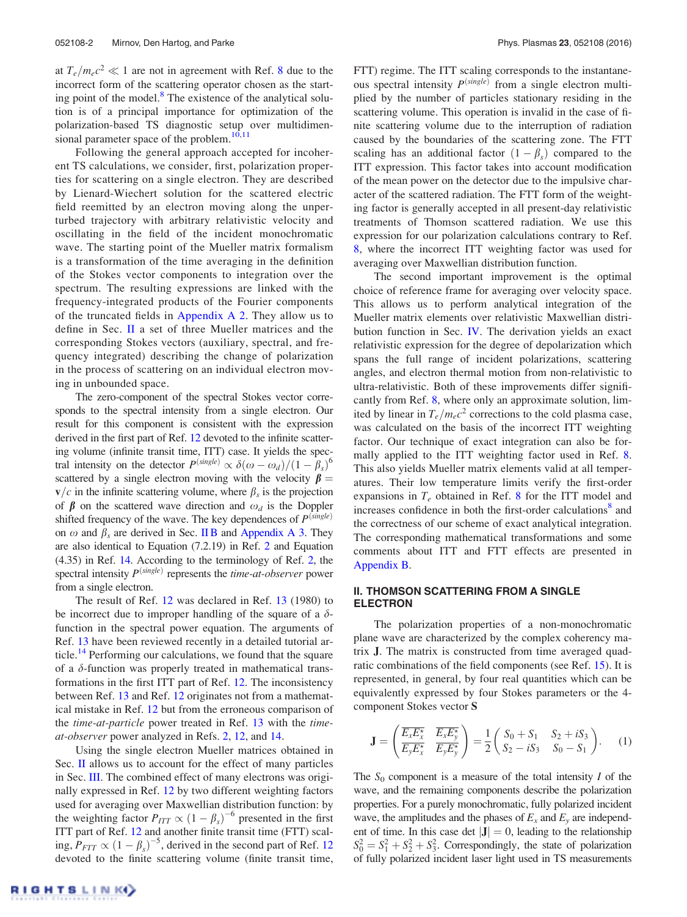<span id="page-2-0"></span>at  $T_e/m_ec^2 \ll 1$  are not in agreement with Ref. [8](#page-13-0) due to the incorrect form of the scattering operator chosen as the start-ing point of the model.<sup>[8](#page-13-0)</sup> The existence of the analytical solution is of a principal importance for optimization of the polarization-based TS diagnostic setup over multidimensional parameter space of the problem. $10,11$ 

Following the general approach accepted for incoherent TS calculations, we consider, first, polarization properties for scattering on a single electron. They are described by Lienard-Wiechert solution for the scattered electric field reemitted by an electron moving along the unperturbed trajectory with arbitrary relativistic velocity and oscillating in the field of the incident monochromatic wave. The starting point of the Mueller matrix formalism is a transformation of the time averaging in the definition of the Stokes vector components to integration over the spectrum. The resulting expressions are linked with the frequency-integrated products of the Fourier components of the truncated fields in [Appendix A 2.](#page-10-0) They allow us to define in Sec. II a set of three Mueller matrices and the corresponding Stokes vectors (auxiliary, spectral, and frequency integrated) describing the change of polarization in the process of scattering on an individual electron moving in unbounded space.

The zero-component of the spectral Stokes vector corresponds to the spectral intensity from a single electron. Our result for this component is consistent with the expression derived in the first part of Ref. [12](#page-13-0) devoted to the infinite scattering volume (infinite transit time, ITT) case. It yields the spectral intensity on the detector  $P^{(single)} \propto \delta(\omega - \omega_d)/(1 - \beta_s)^6$ scattered by a single electron moving with the velocity  $\beta =$  $\mathbf{v}/c$  in the infinite scattering volume, where  $\beta_s$  is the projection of  $\beta$  on the scattered wave direction and  $\omega_d$  is the Doppler shifted frequency of the wave. The key dependences of  $P^{(single)}$ on  $\omega$  and  $\beta_s$  are derived in Sec. [II B](#page-4-0) and [Appendix A 3](#page-11-0). They are also identical to Equation (7.2.19) in Ref. [2](#page-13-0) and Equation (4.35) in Ref. [14](#page-13-0). According to the terminology of Ref. [2](#page-13-0), the spectral intensity  $P<sup>(single)</sup>$  represents the *time-at-observer* power from a single electron.

The result of Ref. [12](#page-13-0) was declared in Ref. [13](#page-13-0) (1980) to be incorrect due to improper handling of the square of a  $\delta$ function in the spectral power equation. The arguments of Ref. [13](#page-13-0) have been reviewed recently in a detailed tutorial ar-ticle.<sup>[14](#page-13-0)</sup> Performing our calculations, we found that the square of a  $\delta$ -function was properly treated in mathematical transformations in the first ITT part of Ref. [12](#page-13-0). The inconsistency between Ref. [13](#page-13-0) and Ref. [12](#page-13-0) originates not from a mathematical mistake in Ref. [12](#page-13-0) but from the erroneous comparison of the *time-at-particle* power treated in Ref. [13](#page-13-0) with the *time*at-observer power analyzed in Refs. [2,](#page-13-0) [12,](#page-13-0) and [14.](#page-13-0)

Using the single electron Mueller matrices obtained in Sec. II allows us to account for the effect of many particles in Sec. [III.](#page-5-0) The combined effect of many electrons was originally expressed in Ref. [12](#page-13-0) by two different weighting factors used for averaging over Maxwellian distribution function: by the weighting factor  $P_{ITT} \propto (1 - \beta_s)^{-6}$  presented in the first ITT part of Ref. [12](#page-13-0) and another finite transit time (FTT) scaling,  $P_{FTT} \propto (1 - \beta_s)^{-5}$ , derived in the second part of Ref. [12](#page-13-0) devoted to the finite scattering volume (finite transit time,

RIGHTS LINKO

FTT) regime. The ITT scaling corresponds to the instantaneous spectral intensity  $P^{(single)}$  from a single electron multiplied by the number of particles stationary residing in the scattering volume. This operation is invalid in the case of finite scattering volume due to the interruption of radiation caused by the boundaries of the scattering zone. The FTT scaling has an additional factor  $(1 - \beta_s)$  compared to the ITT expression. This factor takes into account modification of the mean power on the detector due to the impulsive character of the scattered radiation. The FTT form of the weighting factor is generally accepted in all present-day relativistic treatments of Thomson scattered radiation. We use this expression for our polarization calculations contrary to Ref. [8,](#page-13-0) where the incorrect ITT weighting factor was used for averaging over Maxwellian distribution function.

The second important improvement is the optimal choice of reference frame for averaging over velocity space. This allows us to perform analytical integration of the Mueller matrix elements over relativistic Maxwellian distribution function in Sec. [IV](#page-6-0). The derivation yields an exact relativistic expression for the degree of depolarization which spans the full range of incident polarizations, scattering angles, and electron thermal motion from non-relativistic to ultra-relativistic. Both of these improvements differ significantly from Ref. [8,](#page-13-0) where only an approximate solution, limited by linear in  $T_e/m_ec^2$  corrections to the cold plasma case, was calculated on the basis of the incorrect ITT weighting factor. Our technique of exact integration can also be formally applied to the ITT weighting factor used in Ref. [8](#page-13-0). This also yields Mueller matrix elements valid at all temperatures. Their low temperature limits verify the first-order expansions in  $T_e$  obtained in Ref. [8](#page-13-0) for the ITT model and increases confidence in both the first-order calculations<sup>8</sup> and the correctness of our scheme of exact analytical integration. The corresponding mathematical transformations and some comments about ITT and FTT effects are presented in [Appendix B](#page-12-0).

## II. THOMSON SCATTERING FROM A SINGLE ELECTRON

The polarization properties of a non-monochromatic plane wave are characterized by the complex coherency matrix J. The matrix is constructed from time averaged quadratic combinations of the field components (see Ref. [15](#page-13-0)). It is represented, in general, by four real quantities which can be equivalently expressed by four Stokes parameters or the 4 component Stokes vector S

$$
\mathbf{J} = \begin{pmatrix} \overline{E_x E_x^{\star}} & \overline{E_x E_y^{\star}} \\ \overline{E_y E_x^{\star}} & \overline{E_y E_y^{\star}} \end{pmatrix} = \frac{1}{2} \begin{pmatrix} S_0 + S_1 & S_2 + iS_3 \\ S_2 - iS_3 & S_0 - S_1 \end{pmatrix}.
$$
 (1)

The  $S_0$  component is a measure of the total intensity I of the wave, and the remaining components describe the polarization properties. For a purely monochromatic, fully polarized incident wave, the amplitudes and the phases of  $E_x$  and  $E_y$  are independent of time. In this case det  $|J| = 0$ , leading to the relationship  $S_0^2 = S_1^2 + S_2^2 + S_3^2$ . Correspondingly, the state of polarization of fully polarized incident laser light used in TS measurements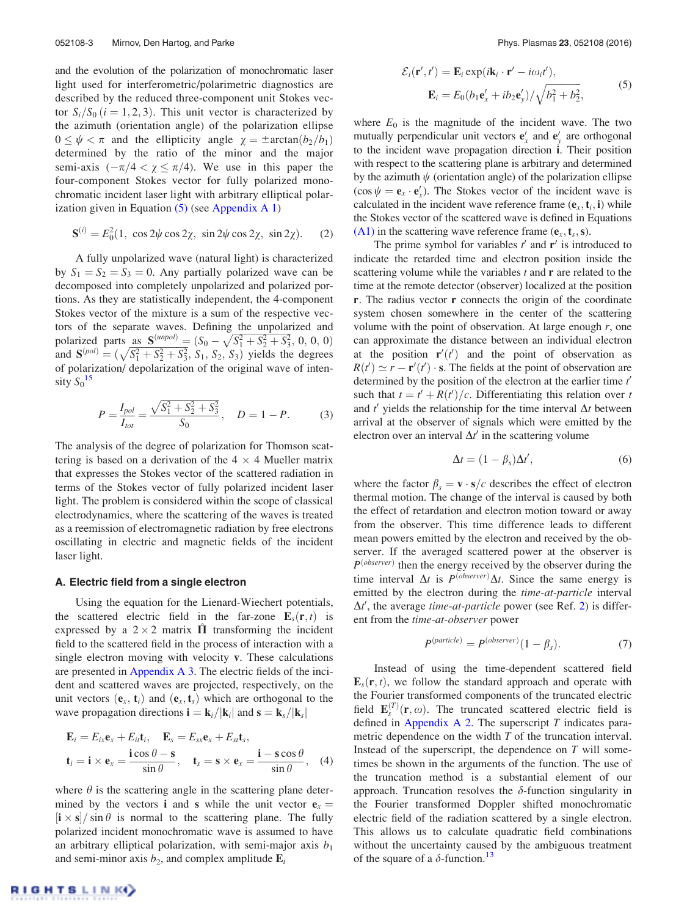<span id="page-3-0"></span>and the evolution of the polarization of monochromatic laser light used for interferometric/polarimetric diagnostics are described by the reduced three-component unit Stokes vector  $S_i/S_0$   $(i = 1, 2, 3)$ . This unit vector is characterized by the azimuth (orientation angle) of the polarization ellipse  $0 \leq \psi < \pi$  and the ellipticity angle  $\chi = \pm \arctan(b_2/b_1)$ determined by the ratio of the minor and the major semi-axis  $(-\pi/4 < \chi \leq \pi/4)$ . We use in this paper the four-component Stokes vector for fully polarized monochromatic incident laser light with arbitrary elliptical polarization given in Equation  $(5)$  (see [Appendix A 1](#page-10-0))

$$
\mathbf{S}^{(i)} = E_0^2(1, \cos 2\psi \cos 2\chi, \sin 2\psi \cos 2\chi, \sin 2\chi). \tag{2}
$$

A fully unpolarized wave (natural light) is characterized by  $S_1 = S_2 = S_3 = 0$ . Any partially polarized wave can be decomposed into completely unpolarized and polarized portions. As they are statistically independent, the 4-component Stokes vector of the mixture is a sum of the respective vectors of the separate waves. Defining the unpolarized and polarized parts as  $S^{(unpol)} = (S_0 - \sqrt{S_1^2 + S_2^2 + S_3^2}, 0, 0, 0)$ polarized parts as  $\frac{1}{2}$  =  $\frac{1}{2}$  ( $\frac{5}{2}$  +  $\frac{5}{2}$  +  $\frac{5}{2}$  +  $\frac{5}{2}$  +  $\frac{5}{2}$  +  $\frac{5}{2}$  +  $\frac{5}{2}$  +  $\frac{5}{2}$  +  $\frac{5}{2}$  +  $\frac{5}{2}$  +  $\frac{5}{2}$  +  $\frac{5}{2}$  +  $\frac{5}{2}$  +  $\frac{5}{2}$  +  $\frac{5}{2}$  + of polarization/ depolarization of the original wave of intensity  $S_0$ <sup>[15](#page-13-0)</sup>

$$
P = \frac{I_{pol}}{I_{tot}} = \frac{\sqrt{S_1^2 + S_2^2 + S_3^2}}{S_0}, \quad D = 1 - P.
$$
 (3)

The analysis of the degree of polarization for Thomson scattering is based on a derivation of the  $4 \times 4$  Mueller matrix that expresses the Stokes vector of the scattered radiation in terms of the Stokes vector of fully polarized incident laser light. The problem is considered within the scope of classical electrodynamics, where the scattering of the waves is treated as a reemission of electromagnetic radiation by free electrons oscillating in electric and magnetic fields of the incident laser light.

#### A. Electric field from a single electron

Using the equation for the Lienard-Wiechert potentials, the scattered electric field in the far-zone  $\mathbf{E}_s(\mathbf{r},t)$  is expressed by a  $2 \times 2$  matrix  $\Pi$  transforming the incident field to the scattered field in the process of interaction with a single electron moving with velocity v. These calculations are presented in [Appendix A 3](#page-11-0). The electric fields of the incident and scattered waves are projected, respectively, on the unit vectors  $(\mathbf{e}_x, \mathbf{t}_i)$  and  $(\mathbf{e}_x, \mathbf{t}_s)$  which are orthogonal to the wave propagation directions  $\mathbf{i} = \mathbf{k}_i/|\mathbf{k}_i|$  and  $\mathbf{s} = \mathbf{k}_s/|\mathbf{k}_s|$ 

$$
\mathbf{E}_{i} = E_{ix}\mathbf{e}_{x} + E_{it}\mathbf{t}_{i}, \quad \mathbf{E}_{s} = E_{sx}\mathbf{e}_{x} + E_{st}\mathbf{t}_{s}, \n\mathbf{t}_{i} = \mathbf{i} \times \mathbf{e}_{x} = \frac{\mathbf{i} \cos \theta - \mathbf{s}}{\sin \theta}, \quad \mathbf{t}_{s} = \mathbf{s} \times \mathbf{e}_{x} = \frac{\mathbf{i} - \mathbf{s} \cos \theta}{\sin \theta}, \quad (4)
$$

where  $\theta$  is the scattering angle in the scattering plane determined by the vectors **i** and **s** while the unit vector  $e_x$  $|i \times s| / \sin \theta$  is normal to the scattering plane. The fully polarized incident monochromatic wave is assumed to have an arbitrary elliptical polarization, with semi-major axis  $b_1$ and semi-minor axis  $b_2$ , and complex amplitude  $\mathbf{E}_i$ 

$$
\mathcal{E}_i(\mathbf{r}', t') = \mathbf{E}_i \exp(i\mathbf{k}_i \cdot \mathbf{r}' - i\omega_i t'),
$$
  

$$
\mathbf{E}_i = E_0 (b_1 \mathbf{e}_x' + ib_2 \mathbf{e}_y') / \sqrt{b_1^2 + b_2^2},
$$
 (5)

where  $E_0$  is the magnitude of the incident wave. The two mutually perpendicular unit vectors  $\mathbf{e}'_x$  and  $\mathbf{e}'_y$  are orthogonal to the incident wave propagation direction i. Their position with respect to the scattering plane is arbitrary and determined by the azimuth  $\psi$  (orientation angle) of the polarization ellipse  $(\cos \psi = \mathbf{e}_x \cdot \mathbf{e}'_x)$ . The Stokes vector of the incident wave is calculated in the incident wave reference frame  $(e_x, t_i, i)$  while the Stokes vector of the scattered wave is defined in Equations [\(A1\)](#page-10-0) in the scattering wave reference frame  $(e_x, t_s, s)$ .

The prime symbol for variables  $t'$  and  $r'$  is introduced to indicate the retarded time and electron position inside the scattering volume while the variables  $t$  and  $\bf{r}$  are related to the time at the remote detector (observer) localized at the position r. The radius vector r connects the origin of the coordinate system chosen somewhere in the center of the scattering volume with the point of observation. At large enough  $r$ , one can approximate the distance between an individual electron at the position  $\mathbf{r}'(t')$  and the point of observation as  $R(t') \simeq r - \mathbf{r}'(t') \cdot \mathbf{s}$ . The fields at the point of observation are determined by the position of the electron at the earlier time  $t'$ such that  $t = t' + R(t')/c$ . Differentiating this relation over t and  $t'$  yields the relationship for the time interval  $\Delta t$  between arrival at the observer of signals which were emitted by the electron over an interval  $\Delta t'$  in the scattering volume

$$
\Delta t = (1 - \beta_s) \Delta t', \tag{6}
$$

where the factor  $\beta_s = \mathbf{v} \cdot \mathbf{s}/c$  describes the effect of electron thermal motion. The change of the interval is caused by both the effect of retardation and electron motion toward or away from the observer. This time difference leads to different mean powers emitted by the electron and received by the observer. If the averaged scattered power at the observer is  $P^{(observer)}$  then the energy received by the observer during the time interval  $\Delta t$  is  $P^{(observer)}\Delta t$ . Since the same energy is emitted by the electron during the time-at-particle interval  $\Delta t'$ , the average time-at-particle power (see Ref. [2](#page-13-0)) is different from the time-at-observer power

$$
P(particle) = P(observer)(1 - \beta_s).
$$
 (7)

Instead of using the time-dependent scattered field  $\mathbf{E}_s(\mathbf{r},t)$ , we follow the standard approach and operate with the Fourier transformed components of the truncated electric field  $\mathbf{E}_s^{(T)}(\mathbf{r}, \omega)$ . The truncated scattered electric field is defined in [Appendix A 2](#page-10-0). The superscript  $T$  indicates parametric dependence on the width T of the truncation interval. Instead of the superscript, the dependence on T will sometimes be shown in the arguments of the function. The use of the truncation method is a substantial element of our approach. Truncation resolves the  $\delta$ -function singularity in the Fourier transformed Doppler shifted monochromatic electric field of the radiation scattered by a single electron. This allows us to calculate quadratic field combinations without the uncertainty caused by the ambiguous treatment of the square of a  $\delta$ -function.<sup>[13](#page-13-0)</sup>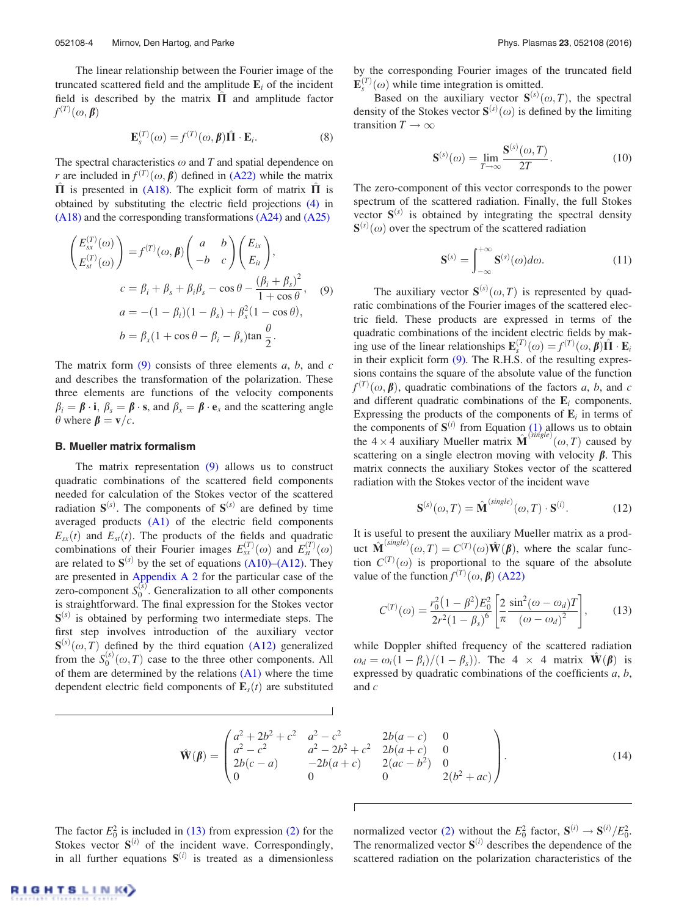<span id="page-4-0"></span>The linear relationship between the Fourier image of the truncated scattered field and the amplitude  $\mathbf{E}_i$  of the incident field is described by the matrix  $\hat{\Pi}$  and amplitude factor  $f^{(T)}(\omega,\beta)$ 

$$
\mathbf{E}_s^{(T)}(\omega) = f^{(T)}(\omega, \boldsymbol{\beta}) \hat{\mathbf{\Pi}} \cdot \mathbf{E}_i.
$$
 (8)

The spectral characteristics  $\omega$  and T and spatial dependence on r are included in  $f^{(T)}(\omega, \beta)$  defined in [\(A22\)](#page-12-0) while the matrix  $\hat{\Pi}$  is presented in [\(A18\)](#page-11-0). The explicit form of matrix  $\hat{\Pi}$  is obtained by substituting the electric field projections [\(4\)](#page-3-0) in [\(A18\)](#page-11-0) and the corresponding transformations [\(A24\)](#page-12-0) and [\(A25\)](#page-12-0)

$$
\begin{pmatrix} E_{sx}^{(T)}(\omega) \\ E_{st}^{(T)}(\omega) \end{pmatrix} = f^{(T)}(\omega, \beta) \begin{pmatrix} a & b \\ -b & c \end{pmatrix} \begin{pmatrix} E_{ix} \\ E_{it} \end{pmatrix},
$$
  
\n
$$
c = \beta_i + \beta_s + \beta_i \beta_s - \cos \theta - \frac{(\beta_i + \beta_s)^2}{1 + \cos \theta}, \quad (9)
$$
  
\n
$$
a = -(1 - \beta_i)(1 - \beta_s) + \beta_x^2(1 - \cos \theta),
$$
  
\n
$$
b = \beta_x(1 + \cos \theta - \beta_i - \beta_s) \tan \frac{\theta}{2}.
$$

The matrix form  $(9)$  consists of three elements a, b, and c and describes the transformation of the polarization. These three elements are functions of the velocity components  $\beta_i = \beta \cdot i$ ,  $\beta_s = \beta \cdot s$ , and  $\beta_x = \beta \cdot e_x$  and the scattering angle  $\theta$  where  $\beta = \mathbf{v}/c$ .

#### B. Mueller matrix formalism

The matrix representation (9) allows us to construct quadratic combinations of the scattered field components needed for calculation of the Stokes vector of the scattered radiation  $S^{(s)}$ . The components of  $S^{(s)}$  are defined by time averaged products [\(A1\)](#page-10-0) of the electric field components  $E_{sx}(t)$  and  $E_{st}(t)$ . The products of the fields and quadratic combinations of their Fourier images  $E_{sx}^{(T)}(\omega)$  and  $E_{st}^{(T)}(\omega)$ are related to  $S^{(s)}$  by the set of equations [\(A10\)–\(A12\).](#page-11-0) They are presented in [Appendix A 2](#page-10-0) for the particular case of the zero-component  $S_0^{(s)}$ . Generalization to all other components is straightforward. The final expression for the Stokes vector  $S^{(s)}$  is obtained by performing two intermediate steps. The first step involves introduction of the auxiliary vector  $S^{(s)}(\omega,T)$  defined by the third equation [\(A12\)](#page-11-0) generalized from the  $S_0^{(s)}(\omega,T)$  case to the three other components. All of them are determined by the relations  $(A1)$  where the time dependent electric field components of  $\mathbf{E}_s(t)$  are substituted by the corresponding Fourier images of the truncated field  $\mathbf{E}_{s}^{(T)}(\omega)$  while time integration is omitted.

Based on the auxiliary vector  $S^{(s)}(\omega,T)$ , the spectral density of the Stokes vector  $S^{(s)}(\omega)$  is defined by the limiting transition  $T \to \infty$ 

$$
\mathbf{S}^{(s)}(\omega) = \lim_{T \to \infty} \frac{\mathbf{S}^{(s)}(\omega, T)}{2T}.
$$
 (10)

The zero-component of this vector corresponds to the power spectrum of the scattered radiation. Finally, the full Stokes vector  $S^{(s)}$  is obtained by integrating the spectral density  $S^{(s)}(\omega)$  over the spectrum of the scattered radiation

$$
\mathbf{S}^{(s)} = \int_{-\infty}^{+\infty} \mathbf{S}^{(s)}(\omega) d\omega.
$$
 (11)

The auxiliary vector  $S^{(s)}(\omega,T)$  is represented by quadratic combinations of the Fourier images of the scattered electric field. These products are expressed in terms of the quadratic combinations of the incident electric fields by making use of the linear relationships  $\mathbf{E}_s^{(T)}(\omega) = f^{(T)}(\omega, \boldsymbol{\beta})\hat{\Pi} \cdot \mathbf{E}_i$ in their explicit form (9). The R.H.S. of the resulting expressions contains the square of the absolute value of the function  $f^{(T)}(\omega, \beta)$ , quadratic combinations of the factors a, b, and c and different quadratic combinations of the  $E_i$  components. Expressing the products of the components of  $E_i$  in terms of the components of  $S^{(i)}$  from Equation [\(1\)](#page-2-0) allows us to obtain the  $4 \times 4$  auxiliary Mueller matrix  $\hat{\mathbf{M}}^{(\text{single})}(\omega, T)$  caused by scattering on a single electron moving with velocity  $\beta$ . This matrix connects the auxiliary Stokes vector of the scattered radiation with the Stokes vector of the incident wave

$$
\mathbf{S}^{(s)}(\omega, T) = \hat{\mathbf{M}}^{(single)}(\omega, T) \cdot \mathbf{S}^{(i)}.\tag{12}
$$

It is useful to present the auxiliary Mueller matrix as a product  $\hat{\mathbf{M}}^{(single)}(\omega, T) = C^{(T)}(\omega)\hat{\mathbf{W}}(\boldsymbol{\beta})$ , where the scalar function  $C^{(T)}(\omega)$  is proportional to the square of the absolute value of the function  $f^{(T)}(\omega, \beta)$  [\(A22\)](#page-12-0)

$$
C^{(T)}(\omega) = \frac{r_0^2 (1 - \beta^2) E_0^2}{2r^2 (1 - \beta_s)^6} \left[ \frac{2}{\pi} \frac{\sin^2(\omega - \omega_d) T}{(\omega - \omega_d)^2} \right],
$$
 (13)

while Doppler shifted frequency of the scattered radiation  $\omega_d = \omega_i(1 - \beta_i)/(1 - \beta_s)$ . The 4  $\times$  4 matrix  $\hat{\mathbf{W}}(\boldsymbol{\beta})$  is expressed by quadratic combinations of the coefficients  $a, b$ , and c

$$
\hat{\mathbf{W}}(\boldsymbol{\beta}) = \begin{pmatrix} a^2 + 2b^2 + c^2 & a^2 - c^2 & 2b(a - c) & 0 \\ a^2 - c^2 & a^2 - 2b^2 + c^2 & 2b(a + c) & 0 \\ 2b(c - a) & -2b(a + c) & 2(ac - b^2) & 0 \\ 0 & 0 & 0 & 2(b^2 + ac) \end{pmatrix}.
$$
\n(14)

Г

The factor  $E_0^2$  is included in (13) from expression [\(2\)](#page-3-0) for the Stokes vector  $S^{(i)}$  of the incident wave. Correspondingly, in all further equations  $S^{(i)}$  is treated as a dimensionless

normalized vector [\(2\)](#page-3-0) without the  $E_0^2$  factor,  $S^{(i)} \rightarrow S^{(i)}/E_0^2$ . The renormalized vector  $S^{(i)}$  describes the dependence of the scattered radiation on the polarization characteristics of the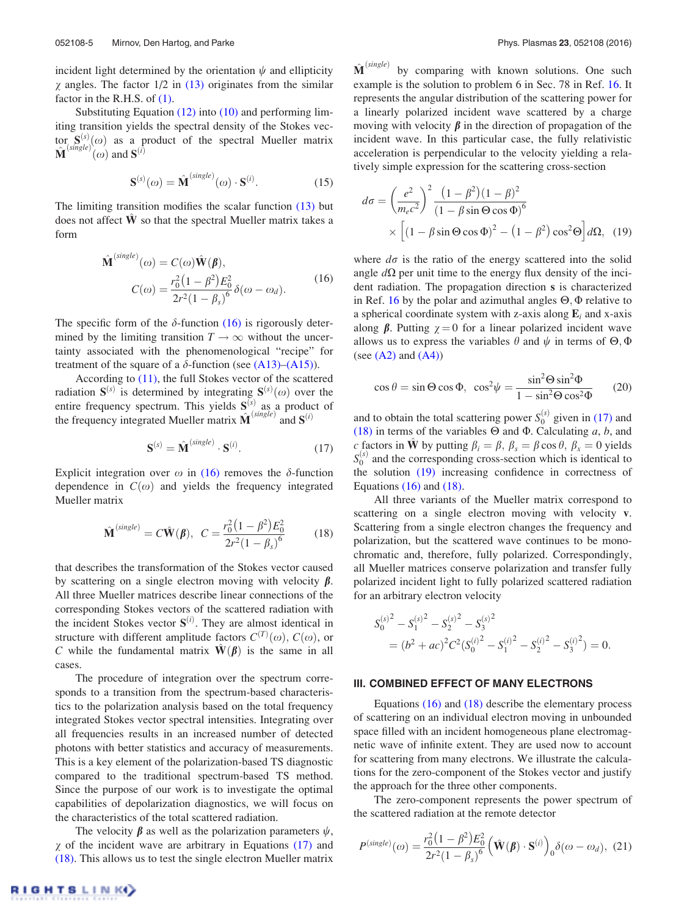<span id="page-5-0"></span>incident light determined by the orientation  $\psi$  and ellipticity  $\chi$  angles. The factor 1/2 in [\(13\)](#page-4-0) originates from the similar factor in the R.H.S. of [\(1\).](#page-2-0)

Substituting Equation [\(12\)](#page-4-0) into [\(10\)](#page-4-0) and performing limiting transition yields the spectral density of the Stokes vector  $S^{(s)}(0)$  as a product of the spectral Mueller matrix  $\hat{\mathbf{M}}^{(single)}(\omega)$  and  $\mathbf{S}^{(i)}$ 

$$
\mathbf{S}^{(s)}(\omega) = \hat{\mathbf{M}}^{(single)}(\omega) \cdot \mathbf{S}^{(i)}.\tag{15}
$$

The limiting transition modifies the scalar function  $(13)$  but does not affect  $\hat{W}$  so that the spectral Mueller matrix takes a form

$$
\hat{\mathbf{M}}^{(single)}(\omega) = C(\omega)\hat{\mathbf{W}}(\boldsymbol{\beta}),
$$
  
\n
$$
C(\omega) = \frac{r_0^2(1-\beta^2)E_0^2}{2r^2(1-\beta_s)^6}\delta(\omega-\omega_d).
$$
\n(16)

The specific form of the  $\delta$ -function (16) is rigorously determined by the limiting transition  $T \rightarrow \infty$  without the uncertainty associated with the phenomenological "recipe" for treatment of the square of a  $\delta$ -function (see [\(A13\)–\(A15\)](#page-11-0)).

According to [\(11\),](#page-4-0) the full Stokes vector of the scattered radiation  $S^{(s)}$  is determined by integrating  $S^{(s)}(\omega)$  over the entire frequency spectrum. This yields  $S^{(s)}$  as a product of the frequency integrated Mueller matrix  $\hat{\mathbf{M}}^{(single)}$  and  $\mathbf{S}^{(i)}$ 

$$
\mathbf{S}^{(s)} = \hat{\mathbf{M}}^{(single)} \cdot \mathbf{S}^{(i)}.\tag{17}
$$

Explicit integration over  $\omega$  in (16) removes the  $\delta$ -function dependence in  $C(\omega)$  and yields the frequency integrated Mueller matrix

$$
\hat{\mathbf{M}}^{(single)} = C\hat{\mathbf{W}}(\boldsymbol{\beta}), \ C = \frac{r_0^2(1-\beta^2)E_0^2}{2r^2(1-\beta_s)^6}
$$
(18)

that describes the transformation of the Stokes vector caused by scattering on a single electron moving with velocity  $\beta$ . All three Mueller matrices describe linear connections of the corresponding Stokes vectors of the scattered radiation with the incident Stokes vector  $S^{(i)}$ . They are almost identical in structure with different amplitude factors  $C^{(T)}(\omega)$ ,  $C(\omega)$ , or C while the fundamental matrix  $\mathbf{W}(\boldsymbol{\beta})$  is the same in all cases.

The procedure of integration over the spectrum corresponds to a transition from the spectrum-based characteristics to the polarization analysis based on the total frequency integrated Stokes vector spectral intensities. Integrating over all frequencies results in an increased number of detected photons with better statistics and accuracy of measurements. This is a key element of the polarization-based TS diagnostic compared to the traditional spectrum-based TS method. Since the purpose of our work is to investigate the optimal capabilities of depolarization diagnostics, we will focus on the characteristics of the total scattered radiation.

The velocity  $\beta$  as well as the polarization parameters  $\psi$ ,  $\chi$  of the incident wave are arbitrary in Equations (17) and (18). This allows us to test the single electron Mueller matrix  $\hat{\mathbf{M}}^{(single)}$  by comparing with known solutions. One such example is the solution to problem 6 in Sec. 78 in Ref. [16](#page-13-0). It represents the angular distribution of the scattering power for a linearly polarized incident wave scattered by a charge moving with velocity  $\beta$  in the direction of propagation of the incident wave. In this particular case, the fully relativistic acceleration is perpendicular to the velocity yielding a relatively simple expression for the scattering cross-section

$$
d\sigma = \left(\frac{e^2}{m_e c^2}\right)^2 \frac{\left(1 - \beta^2\right) \left(1 - \beta\right)^2}{\left(1 - \beta \sin \Theta \cos \Phi\right)^6}
$$

$$
\times \left[\left(1 - \beta \sin \Theta \cos \Phi\right)^2 - \left(1 - \beta^2\right) \cos^2 \Theta\right] d\Omega, \quad (19)
$$

where  $d\sigma$  is the ratio of the energy scattered into the solid angle  $d\Omega$  per unit time to the energy flux density of the incident radiation. The propagation direction s is characterized in Ref. [16](#page-13-0) by the polar and azimuthal angles  $\Theta$ ,  $\Phi$  relative to a spherical coordinate system with z-axis along  $E_i$  and x-axis along  $\beta$ . Putting  $\gamma = 0$  for a linear polarized incident wave allows us to express the variables  $\theta$  and  $\psi$  in terms of  $\Theta$ ,  $\Phi$ (see  $(A2)$  and  $(A4)$ )

$$
\cos \theta = \sin \Theta \cos \Phi, \ \cos^2 \psi = \frac{\sin^2 \Theta \sin^2 \Phi}{1 - \sin^2 \Theta \cos^2 \Phi} \qquad (20)
$$

and to obtain the total scattering power  $S_0^{(s)}$  given in (17) and (18) in terms of the variables  $\Theta$  and  $\Phi$ . Calculating a, b, and c factors in  $\hat{\mathbf{W}}$  by putting  $\beta_i = \beta$ ,  $\beta_s = \beta \cos \theta$ ,  $\beta_x = 0$  yields  $S_0^{(s)}$  and the corresponding cross-section which is identical to the solution (19) increasing confidence in correctness of Equations  $(16)$  and  $(18)$ .

All three variants of the Mueller matrix correspond to scattering on a single electron moving with velocity v. Scattering from a single electron changes the frequency and polarization, but the scattered wave continues to be monochromatic and, therefore, fully polarized. Correspondingly, all Mueller matrices conserve polarization and transfer fully polarized incident light to fully polarized scattered radiation for an arbitrary electron velocity

$$
S_0^{(s)}^2 - S_1^{(s)}^2 - S_2^{(s)}^2 - S_3^{(s)}^2
$$
  
=  $(b^2 + ac)^2 C^2 (S_0^{(i)}^2 - S_1^{(i)}^2 - S_2^{(i)}^2 - S_3^{(i)}^2) = 0.$ 

#### III. COMBINED EFFECT OF MANY ELECTRONS

Equations (16) and (18) describe the elementary process of scattering on an individual electron moving in unbounded space filled with an incident homogeneous plane electromagnetic wave of infinite extent. They are used now to account for scattering from many electrons. We illustrate the calculations for the zero-component of the Stokes vector and justify the approach for the three other components.

The zero-component represents the power spectrum of the scattered radiation at the remote detector

$$
P^{(single)}(\omega) = \frac{r_0^2 (1 - \beta^2) E_0^2}{2r^2 (1 - \beta_s)^6} \left( \hat{\mathbf{W}}(\boldsymbol{\beta}) \cdot \mathbf{S}^{(i)} \right)_0 \delta(\omega - \omega_d), (21)
$$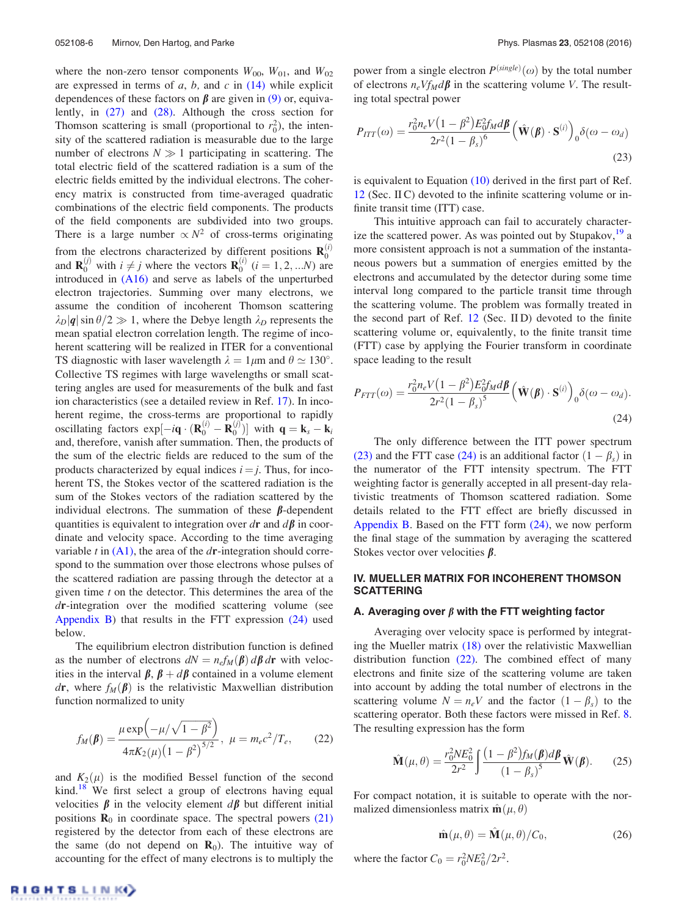<span id="page-6-0"></span>where the non-zero tensor components  $W_{00}$ ,  $W_{01}$ , and  $W_{02}$ are expressed in terms of  $a$ ,  $b$ , and  $c$  in [\(14\)](#page-4-0) while explicit dependences of these factors on  $\beta$  are given in [\(9\)](#page-4-0) or, equivalently, in [\(27\)](#page-7-0) and [\(28\).](#page-7-0) Although the cross section for Thomson scattering is small (proportional to  $r_0^2$ ), the intensity of the scattered radiation is measurable due to the large number of electrons  $N \gg 1$  participating in scattering. The total electric field of the scattered radiation is a sum of the electric fields emitted by the individual electrons. The coherency matrix is constructed from time-averaged quadratic combinations of the electric field components. The products of the field components are subdivided into two groups. There is a large number  $\propto N^2$  of cross-terms originating from the electrons characterized by different positions  $\mathbf{R}_0^{(i)}$ and  $\mathbf{R}_0^{(j)}$  with  $i \neq j$  where the vectors  $\mathbf{R}_0^{(i)}$   $(i = 1, 2, ...N)$  are introduced in [\(A16\)](#page-11-0) and serve as labels of the unperturbed electron trajectories. Summing over many electrons, we assume the condition of incoherent Thomson scattering  $\lambda_D|\mathbf{q}| \sin \theta/2 \gg 1$ , where the Debye length  $\lambda_D$  represents the mean spatial electron correlation length. The regime of incoherent scattering will be realized in ITER for a conventional TS diagnostic with laser wavelength  $\lambda = 1 \mu m$  and  $\theta \simeq 130^\circ$ . Collective TS regimes with large wavelengths or small scattering angles are used for measurements of the bulk and fast ion characteristics (see a detailed review in Ref. [17\)](#page-13-0). In incoherent regime, the cross-terms are proportional to rapidly oscillating factors  $exp[-i\mathbf{q} \cdot (\mathbf{R}_0^{(i)} - \mathbf{R}_0^{(j)})]$  with  $\mathbf{q} = \mathbf{k}_s - \mathbf{k}_i$ and, therefore, vanish after summation. Then, the products of the sum of the electric fields are reduced to the sum of the products characterized by equal indices  $i = j$ . Thus, for incoherent TS, the Stokes vector of the scattered radiation is the sum of the Stokes vectors of the radiation scattered by the individual electrons. The summation of these  $\beta$ -dependent quantities is equivalent to integration over dr and  $d\beta$  in coordinate and velocity space. According to the time averaging variable t in  $(A1)$ , the area of the dr-integration should correspond to the summation over those electrons whose pulses of the scattered radiation are passing through the detector at a given time  $t$  on the detector. This determines the area of the dr-integration over the modified scattering volume (see [Appendix B](#page-12-0)) that results in the FTT expression  $(24)$  used below.

The equilibrium electron distribution function is defined as the number of electrons  $dN = n_e f_M(\beta) d\beta d\mathbf{r}$  with velocities in the interval  $\beta$ ,  $\beta + d\beta$  contained in a volume element dr, where  $f_M(\beta)$  is the relativistic Maxwellian distribution function normalized to unity

$$
f_M(\beta) = \frac{\mu \exp(-\mu/\sqrt{1-\beta^2})}{4\pi K_2(\mu)(1-\beta^2)^{5/2}}, \ \mu = m_e c^2/T_e,
$$
 (22)

and  $K_2(\mu)$  is the modified Bessel function of the second kind.<sup>[18](#page-14-0)</sup> We first select a group of electrons having equal velocities  $\beta$  in the velocity element  $d\beta$  but different initial positions  $\mathbf{R}_0$  in coordinate space. The spectral powers [\(21\)](#page-5-0) registered by the detector from each of these electrons are the same (do not depend on  $\mathbf{R}_0$ ). The intuitive way of accounting for the effect of many electrons is to multiply the

power from a single electron  $P^{(single)}(\omega)$  by the total number of electrons  $n_eVf_Md\beta$  in the scattering volume V. The resulting total spectral power

$$
P_{ITT}(\omega) = \frac{r_0^2 n_e V (1 - \beta^2) E_0^2 f_M d\beta}{2r^2 (1 - \beta_s)^6} \left(\hat{\mathbf{W}}(\beta) \cdot \mathbf{S}^{(i)}\right)_0 \delta(\omega - \omega_d)
$$
\n(23)

is equivalent to Equation [\(10\)](#page-4-0) derived in the first part of Ref. [12](#page-13-0) (Sec. II C) devoted to the infinite scattering volume or infinite transit time (ITT) case.

This intuitive approach can fail to accurately characterize the scattered power. As was pointed out by Stupakov, $^{19}$  a more consistent approach is not a summation of the instantaneous powers but a summation of energies emitted by the electrons and accumulated by the detector during some time interval long compared to the particle transit time through the scattering volume. The problem was formally treated in the second part of Ref. [12](#page-13-0) (Sec. II D) devoted to the finite scattering volume or, equivalently, to the finite transit time (FTT) case by applying the Fourier transform in coordinate space leading to the result

$$
P_{FTT}(\omega) = \frac{r_0^2 n_e V (1 - \beta^2) E_0^2 f_M d\beta}{2r^2 (1 - \beta_s)^5} \left( \hat{\mathbf{W}}(\beta) \cdot \mathbf{S}^{(i)} \right)_0 \delta(\omega - \omega_d).
$$
\n(24)

The only difference between the ITT power spectrum (23) and the FTT case (24) is an additional factor  $(1 - \beta_s)$  in the numerator of the FTT intensity spectrum. The FTT weighting factor is generally accepted in all present-day relativistic treatments of Thomson scattered radiation. Some details related to the FTT effect are briefly discussed in [Appendix B](#page-12-0). Based on the FTT form (24), we now perform the final stage of the summation by averaging the scattered Stokes vector over velocities  $\beta$ .

## IV. MUELLER MATRIX FOR INCOHERENT THOMSON SCATTERING

#### A. Averaging over  $\beta$  with the FTT weighting factor

Averaging over velocity space is performed by integrating the Mueller matrix [\(18\)](#page-5-0) over the relativistic Maxwellian distribution function  $(22)$ . The combined effect of many electrons and finite size of the scattering volume are taken into account by adding the total number of electrons in the scattering volume  $N = n_eV$  and the factor  $(1 - \beta_s)$  to the scattering operator. Both these factors were missed in Ref. [8](#page-13-0). The resulting expression has the form

$$
\hat{\mathbf{M}}(\mu,\theta) = \frac{r_0^2 N E_0^2}{2r^2} \int \frac{(1-\beta^2) f_M(\boldsymbol{\beta}) d\boldsymbol{\beta}}{(1-\beta_s)^5} \hat{\mathbf{W}}(\boldsymbol{\beta}).
$$
 (25)

For compact notation, it is suitable to operate with the normalized dimensionless matrix  $\hat{\mathbf{m}}(\mu, \theta)$ 

$$
\hat{\mathbf{m}}(\mu,\theta) = \hat{\mathbf{M}}(\mu,\theta)/C_0,\tag{26}
$$

where the factor  $C_0 = r_0^2 N E_0^2 / 2r^2$ .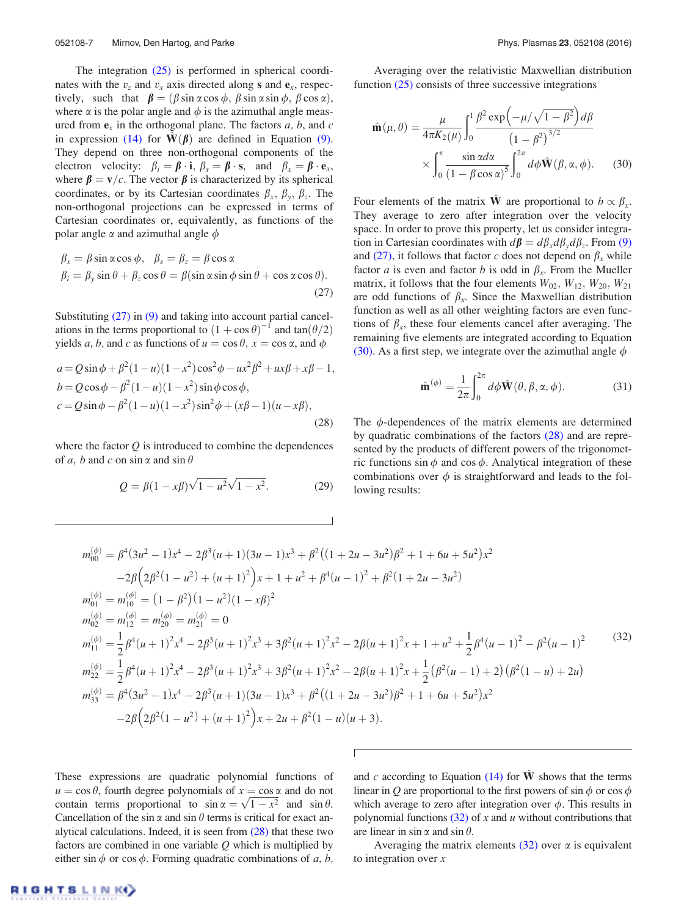<span id="page-7-0"></span>The integration [\(25\)](#page-6-0) is performed in spherical coordinates with the  $v_z$  and  $v_x$  axis directed along s and  $e_x$ , respectively, such that  $\beta = (\beta \sin \alpha \cos \phi, \beta \sin \alpha \sin \phi, \beta \cos \alpha)$ , where  $\alpha$  is the polar angle and  $\phi$  is the azimuthal angle measured from  $e_x$  in the orthogonal plane. The factors a, b, and c in expression [\(14\)](#page-4-0) for  $\mathbf{W}(\boldsymbol{\beta})$  are defined in Equation [\(9\)](#page-4-0). They depend on three non-orthogonal components of the electron velocity:  $\beta_i = \beta \cdot \mathbf{i}, \beta_s = \beta \cdot \mathbf{s}$ , and  $\beta_x = \beta \cdot \mathbf{e}_x$ , where  $\beta = v/c$ . The vector  $\beta$  is characterized by its spherical coordinates, or by its Cartesian coordinates  $\beta_x$ ,  $\beta_y$ ,  $\beta_z$ . The non-orthogonal projections can be expressed in terms of Cartesian coordinates or, equivalently, as functions of the polar angle  $\alpha$  and azimuthal angle  $\phi$ 

$$
\beta_x = \beta \sin \alpha \cos \phi, \quad \beta_s = \beta_z = \beta \cos \alpha
$$
  

$$
\beta_i = \beta_y \sin \theta + \beta_z \cos \theta = \beta (\sin \alpha \sin \phi \sin \theta + \cos \alpha \cos \theta).
$$
 (27)

Substituting (27) in [\(9\)](#page-4-0) and taking into account partial cancelations in the terms proportional to  $(1 + \cos \theta)^{-1}$  and  $\tan(\theta/2)$ yields a, b, and c as functions of  $u = \cos \theta$ ,  $x = \cos \alpha$ , and  $\phi$ 

$$
a = Q\sin\phi + \beta^2(1 - u)(1 - x^2)\cos^2\phi - ux^2\beta^2 + ux\beta + x\beta - 1,b = Q\cos\phi - \beta^2(1 - u)(1 - x^2)\sin\phi\cos\phi,c = Q\sin\phi - \beta^2(1 - u)(1 - x^2)\sin^2\phi + (x\beta - 1)(u - x\beta),
$$
\n(28)

where the factor  $Q$  is introduced to combine the dependences of a, b and c on sin  $\alpha$  and sin  $\theta$ 

$$
Q = \beta(1 - x\beta)\sqrt{1 - u^2}\sqrt{1 - x^2}.
$$
 (29)

Averaging over the relativistic Maxwellian distribution function [\(25\)](#page-6-0) consists of three successive integrations

$$
\hat{\mathbf{m}}(\mu,\theta) = \frac{\mu}{4\pi K_2(\mu)} \int_0^1 \frac{\beta^2 \exp\left(-\mu/\sqrt{1-\beta^2}\right) d\beta}{\left(1-\beta^2\right)^{3/2}} \times \int_0^{\pi} \frac{\sin \alpha d\alpha}{\left(1-\beta\cos\alpha\right)^5} \int_0^{2\pi} d\phi \hat{\mathbf{W}}(\beta,\alpha,\phi). \tag{30}
$$

Four elements of the matrix **W** are proportional to  $b \propto \beta_r$ . They average to zero after integration over the velocity space. In order to prove this property, let us consider integration in Cartesian coordinates with  $d\beta = d\beta_x d\beta_y d\beta_z$ . From [\(9\)](#page-4-0) and (27), it follows that factor c does not depend on  $\beta_x$  while factor *a* is even and factor *b* is odd in  $\beta_x$ . From the Mueller matrix, it follows that the four elements  $W_{02}$ ,  $W_{12}$ ,  $W_{20}$ ,  $W_{21}$ are odd functions of  $\beta_x$ . Since the Maxwellian distribution function as well as all other weighting factors are even functions of  $\beta_x$ , these four elements cancel after averaging. The remaining five elements are integrated according to Equation (30). As a first step, we integrate over the azimuthal angle  $\phi$ 

$$
\hat{\mathbf{m}}^{(\phi)} = \frac{1}{2\pi} \int_0^{2\pi} d\phi \hat{\mathbf{W}}(\theta, \beta, \alpha, \phi).
$$
 (31)

The  $\phi$ -dependences of the matrix elements are determined by quadratic combinations of the factors (28) and are represented by the products of different powers of the trigonometric functions sin  $\phi$  and cos  $\phi$ . Analytical integration of these combinations over  $\phi$  is straightforward and leads to the following results:

$$
m_{00}^{(\phi)} = \beta^4 (3u^2 - 1)x^4 - 2\beta^3 (u+1)(3u-1)x^3 + \beta^2 ((1+2u-3u^2)\beta^2 + 1 + 6u+5u^2)x^2
$$
  
\n
$$
-2\beta (2\beta^2 (1-u^2) + (u+1)^2)x + 1 + u^2 + \beta^4 (u-1)^2 + \beta^2 (1+2u-3u^2)
$$
  
\n
$$
m_{01}^{(\phi)} = m_{10}^{(\phi)} = (1-\beta^2)(1-u^2)(1-x\beta)^2
$$
  
\n
$$
m_{02}^{(\phi)} = m_{12}^{(\phi)} = m_{20}^{(\phi)} = m_{21}^{(\phi)} = 0
$$
  
\n
$$
m_{11}^{(\phi)} = \frac{1}{2}\beta^4 (u+1)^2x^4 - 2\beta^3 (u+1)^2x^3 + 3\beta^2 (u+1)^2x^2 - 2\beta(u+1)^2x + 1 + u^2 + \frac{1}{2}\beta^4 (u-1)^2 - \beta^2 (u-1)^2
$$
  
\n
$$
m_{22}^{(\phi)} = \frac{1}{2}\beta^4 (u+1)^2x^4 - 2\beta^3 (u+1)^2x^3 + 3\beta^2 (u+1)^2x^2 - 2\beta(u+1)^2x + \frac{1}{2}(\beta^2 (u-1) + 2)(\beta^2 (1-u) + 2u)
$$
  
\n
$$
m_{33}^{(\phi)} = \beta^4 (3u^2 - 1)x^4 - 2\beta^3 (u+1)(3u-1)x^3 + \beta^2 ((1+2u-3u^2)\beta^2 + 1 + 6u + 5u^2)x^2
$$
  
\n
$$
-2\beta (2\beta^2 (1-u^2) + (u+1)^2)x + 2u + \beta^2 (1-u)(u+3).
$$
 (32)

Г

These expressions are quadratic polynomial functions of  $u = \cos \theta$ , fourth degree polynomials of  $x = \cos \alpha$  and do not  $u = \cos v$ , fourth degree polynomials of  $x = \cos \alpha$  and do not contain terms proportional to  $\sin \alpha = \sqrt{1 - x^2}$  and  $\sin \theta$ . Cancellation of the sin  $\alpha$  and sin  $\theta$  terms is critical for exact analytical calculations. Indeed, it is seen from  $(28)$  that these two factors are combined in one variable  $Q$  which is multiplied by either sin  $\phi$  or cos  $\phi$ . Forming quadratic combinations of a, b, and c according to Equation  $(14)$  for  $\hat{W}$  shows that the terms linear in O are proportional to the first powers of  $\sin \phi$  or  $\cos \phi$ which average to zero after integration over  $\phi$ . This results in polynomial functions  $(32)$  of x and u without contributions that are linear in sin  $\alpha$  and sin  $\theta$ .

Averaging the matrix elements  $(32)$  over  $\alpha$  is equivalent to integration over  $x$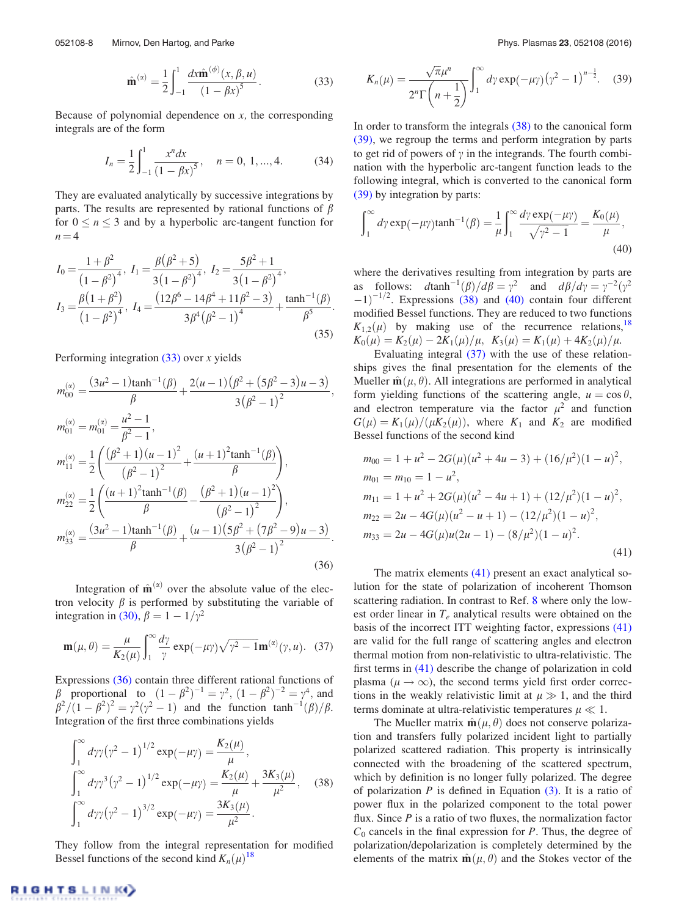$$
\hat{\mathbf{m}}^{(\alpha)} = \frac{1}{2} \int_{-1}^{1} \frac{dx \hat{\mathbf{m}}^{(\phi)}(x, \beta, u)}{(1 - \beta x)^{5}}.
$$
 (33)

<span id="page-8-0"></span>Because of polynomial dependence on  $x$ , the corresponding integrals are of the form

$$
I_n = \frac{1}{2} \int_{-1}^{1} \frac{x^n dx}{(1 - \beta x)^5}, \quad n = 0, 1, ..., 4.
$$
 (34)

They are evaluated analytically by successive integrations by parts. The results are represented by rational functions of  $\beta$ for  $0 \le n \le 3$  and by a hyperbolic arc-tangent function for  $n = 4$ 

$$
I_0 = \frac{1+\beta^2}{\left(1-\beta^2\right)^4}, \ I_1 = \frac{\beta(\beta^2+5)}{3\left(1-\beta^2\right)^4}, \ I_2 = \frac{5\beta^2+1}{3\left(1-\beta^2\right)^4}, I_3 = \frac{\beta(1+\beta^2)}{\left(1-\beta^2\right)^4}, \ I_4 = \frac{\left(12\beta^6 - 14\beta^4 + 11\beta^2 - 3\right)}{3\beta^4\left(\beta^2 - 1\right)^4} + \frac{\tanh^{-1}(\beta)}{\beta^5}.
$$
\n(35)

Performing integration  $(33)$  over x yields

$$
m_{00}^{(\alpha)} = \frac{(3u^2 - 1)\tanh^{-1}(\beta)}{\beta} + \frac{2(u - 1)(\beta^2 + (5\beta^2 - 3)u - 3)}{3(\beta^2 - 1)^2},
$$
  
\n
$$
m_{01}^{(\alpha)} = m_{01}^{(\alpha)} = \frac{u^2 - 1}{\beta^2 - 1},
$$
  
\n
$$
m_{11}^{(\alpha)} = \frac{1}{2} \left( \frac{(\beta^2 + 1)(u - 1)^2}{(\beta^2 - 1)^2} + \frac{(u + 1)^2 \tanh^{-1}(\beta)}{\beta} \right),
$$
  
\n
$$
m_{22}^{(\alpha)} = \frac{1}{2} \left( \frac{(u + 1)^2 \tanh^{-1}(\beta)}{\beta} - \frac{(\beta^2 + 1)(u - 1)^2}{(\beta^2 - 1)^2} \right),
$$
  
\n
$$
m_{33}^{(\alpha)} = \frac{(3u^2 - 1)\tanh^{-1}(\beta)}{\beta} + \frac{(u - 1)(5\beta^2 + (7\beta^2 - 9)u - 3)}{3(\beta^2 - 1)^2}.
$$
  
\n(36)

Integration of  $\hat{\mathbf{m}}^{(\alpha)}$  over the absolute value of the electron velocity  $\beta$  is performed by substituting the variable of integration in [\(30\),](#page-7-0)  $\beta = 1 - 1/\gamma^2$ 

$$
\mathbf{m}(\mu,\theta) = \frac{\mu}{K_2(\mu)} \int_1^{\infty} \frac{d\gamma}{\gamma} \exp(-\mu\gamma) \sqrt{\gamma^2 - 1} \mathbf{m}^{(\alpha)}(\gamma, u). \quad (37)
$$

Expressions (36) contain three different rational functions of  $\beta$  proportional to  $(1 - \beta^2)^{-1} = \gamma^2$ ,  $(1 - \beta^2)^{-2} = \gamma^4$ , and  $\beta^2/(1-\beta^2)^2 = \gamma^2(\gamma^2-1)$  and the function tanh<sup>-1</sup>( $\beta$ )/ $\beta$ . Integration of the first three combinations yields

$$
\int_{1}^{\infty} d\gamma \gamma (\gamma^{2} - 1)^{1/2} \exp(-\mu \gamma) = \frac{K_{2}(\mu)}{\mu},
$$
  

$$
\int_{1}^{\infty} d\gamma \gamma^{3} (\gamma^{2} - 1)^{1/2} \exp(-\mu \gamma) = \frac{K_{2}(\mu)}{\mu} + \frac{3K_{3}(\mu)}{\mu^{2}},
$$
(38)  

$$
\int_{1}^{\infty} d\gamma \gamma (\gamma^{2} - 1)^{3/2} \exp(-\mu \gamma) = \frac{3K_{3}(\mu)}{\mu^{2}}.
$$

They follow from the integral representation for modified Bessel functions of the second kind  $K_n(\mu)^{18}$  $K_n(\mu)^{18}$  $K_n(\mu)^{18}$ 

$$
K_n(\mu) = \frac{\sqrt{\pi}\mu^n}{2^n \Gamma\left(n + \frac{1}{2}\right)} \int_1^{\infty} d\gamma \exp(-\mu \gamma) (\gamma^2 - 1)^{n - \frac{1}{2}}.
$$
 (39)

In order to transform the integrals (38) to the canonical form (39), we regroup the terms and perform integration by parts to get rid of powers of  $\gamma$  in the integrands. The fourth combination with the hyperbolic arc-tangent function leads to the following integral, which is converted to the canonical form (39) by integration by parts:

$$
\int_1^{\infty} d\gamma \exp(-\mu \gamma) \tanh^{-1}(\beta) = \frac{1}{\mu} \int_1^{\infty} \frac{d\gamma \exp(-\mu \gamma)}{\sqrt{\gamma^2 - 1}} = \frac{K_0(\mu)}{\mu},\tag{40}
$$

where the derivatives resulting from integration by parts are as follows:  $d\tanh^{-1}(\beta)/d\beta = \gamma^2$  and  $d\beta/d\gamma = \gamma^{-2}(\gamma^2)$  $(-1)^{-1/2}$ . Expressions (38) and (40) contain four different modified Bessel functions. They are reduced to two functions  $K_{1,2}(\mu)$  by making use of the recurrence relations, <sup>18</sup>  $K_0(\mu) = K_2(\mu) - 2K_1(\mu)/\mu$ ,  $K_3(\mu) = K_1(\mu) + 4K_2(\mu)/\mu$ .

Evaluating integral (37) with the use of these relationships gives the final presentation for the elements of the Mueller  $\hat{\mathbf{m}}(\mu, \theta)$ . All integrations are performed in analytical form yielding functions of the scattering angle,  $u = \cos \theta$ , and electron temperature via the factor  $\mu^2$  and function  $G(\mu) = K_1(\mu)/(\mu K_2(\mu))$ , where  $K_1$  and  $K_2$  are modified Bessel functions of the second kind

$$
m_{00} = 1 + u^2 - 2G(\mu)(u^2 + 4u - 3) + (16/\mu^2)(1 - u)^2,
$$
  
\n
$$
m_{01} = m_{10} = 1 - u^2,
$$
  
\n
$$
m_{11} = 1 + u^2 + 2G(\mu)(u^2 - 4u + 1) + (12/\mu^2)(1 - u)^2,
$$
  
\n
$$
m_{22} = 2u - 4G(\mu)(u^2 - u + 1) - (12/\mu^2)(1 - u)^2,
$$
  
\n
$$
m_{33} = 2u - 4G(\mu)u(2u - 1) - (8/\mu^2)(1 - u)^2.
$$
  
\n(41)

The matrix elements (41) present an exact analytical solution for the state of polarization of incoherent Thomson scattering radiation. In contrast to Ref. [8](#page-13-0) where only the lowest order linear in  $T_e$  analytical results were obtained on the basis of the incorrect ITT weighting factor, expressions (41) are valid for the full range of scattering angles and electron thermal motion from non-relativistic to ultra-relativistic. The first terms in (41) describe the change of polarization in cold plasma ( $\mu \rightarrow \infty$ ), the second terms yield first order corrections in the weakly relativistic limit at  $\mu \gg 1$ , and the third terms dominate at ultra-relativistic temperatures  $\mu \ll 1$ .

The Mueller matrix  $\hat{\mathbf{m}}(\mu, \theta)$  does not conserve polarization and transfers fully polarized incident light to partially polarized scattered radiation. This property is intrinsically connected with the broadening of the scattered spectrum, which by definition is no longer fully polarized. The degree of polarization  $P$  is defined in Equation  $(3)$ . It is a ratio of power flux in the polarized component to the total power flux. Since  $P$  is a ratio of two fluxes, the normalization factor  $C_0$  cancels in the final expression for P. Thus, the degree of polarization/depolarization is completely determined by the elements of the matrix  $\hat{\mathbf{m}}(\mu, \theta)$  and the Stokes vector of the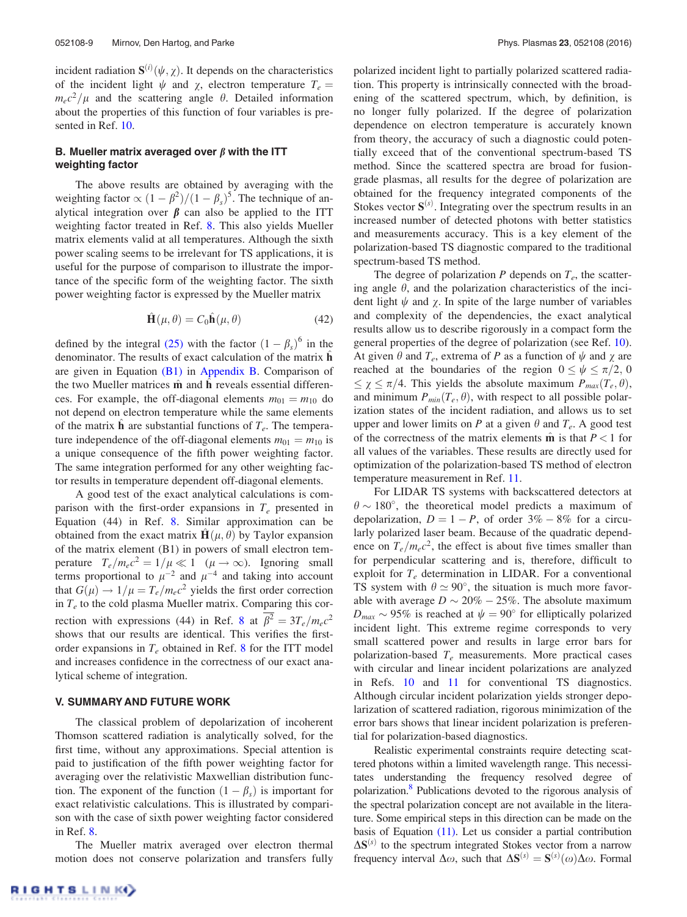<span id="page-9-0"></span>incident radiation  $S^{(i)}(\psi, \chi)$ . It depends on the characteristics of the incident light  $\psi$  and  $\chi$ , electron temperature  $T_e$  =  $m_ec^2/\mu$  and the scattering angle  $\theta$ . Detailed information about the properties of this function of four variables is presented in Ref. [10.](#page-13-0)

## B. Mueller matrix averaged over  $\beta$  with the ITT weighting factor

The above results are obtained by averaging with the weighting factor  $\propto (1 - \beta^2)/(1 - \beta_s)^5$ . The technique of analytical integration over  $\beta$  can also be applied to the ITT weighting factor treated in Ref. [8.](#page-13-0) This also yields Mueller matrix elements valid at all temperatures. Although the sixth power scaling seems to be irrelevant for TS applications, it is useful for the purpose of comparison to illustrate the importance of the specific form of the weighting factor. The sixth power weighting factor is expressed by the Mueller matrix

$$
\hat{\mathbf{H}}(\mu,\theta) = C_0 \hat{\mathbf{h}}(\mu,\theta)
$$
 (42)

defined by the integral [\(25\)](#page-6-0) with the factor  $(1 - \beta_s)^6$  in the denominator. The results of exact calculation of the matrix  $\hat{\mathbf{h}}$ are given in Equation  $(B1)$  in [Appendix B](#page-12-0). Comparison of the two Mueller matrices  $\hat{\mathbf{m}}$  and  $\mathbf{h}$  reveals essential differences. For example, the off-diagonal elements  $m_{01} = m_{10}$  do not depend on electron temperature while the same elements of the matrix  $\hat{\mathbf{h}}$  are substantial functions of  $T_e$ . The temperature independence of the off-diagonal elements  $m_{01} = m_{10}$  is a unique consequence of the fifth power weighting factor. The same integration performed for any other weighting factor results in temperature dependent off-diagonal elements.

A good test of the exact analytical calculations is comparison with the first-order expansions in  $T_e$  presented in Equation (44) in Ref. [8](#page-13-0). Similar approximation can be obtained from the exact matrix  $\mathbf{H}(\mu, \theta)$  by Taylor expansion of the matrix element (B1) in powers of small electron temperature  $T_e/m_ec^2 = 1/\mu \ll 1 \ \ (\mu \to \infty)$ . Ignoring small terms proportional to  $\mu^{-2}$  and  $\mu^{-4}$  and taking into account that  $G(\mu) \rightarrow 1/\mu = T_e/m_e c^2$  yields the first order correction in  $T_e$  to the cold plasma Mueller matrix. Comparing this cor-rection with expressions (44) in Ref. [8](#page-13-0) at  $\overline{\beta^2} = 3T_e/m_ec^2$ shows that our results are identical. This verifies the firstorder expansions in  $T_e$  obtained in Ref. [8](#page-13-0) for the ITT model and increases confidence in the correctness of our exact analytical scheme of integration.

#### V. SUMMARY AND FUTURE WORK

The classical problem of depolarization of incoherent Thomson scattered radiation is analytically solved, for the first time, without any approximations. Special attention is paid to justification of the fifth power weighting factor for averaging over the relativistic Maxwellian distribution function. The exponent of the function  $(1 - \beta_s)$  is important for exact relativistic calculations. This is illustrated by comparison with the case of sixth power weighting factor considered in Ref. [8.](#page-13-0)

The Mueller matrix averaged over electron thermal motion does not conserve polarization and transfers fully polarized incident light to partially polarized scattered radiation. This property is intrinsically connected with the broadening of the scattered spectrum, which, by definition, is no longer fully polarized. If the degree of polarization dependence on electron temperature is accurately known from theory, the accuracy of such a diagnostic could potentially exceed that of the conventional spectrum-based TS method. Since the scattered spectra are broad for fusiongrade plasmas, all results for the degree of polarization are obtained for the frequency integrated components of the Stokes vector  $S^{(s)}$ . Integrating over the spectrum results in an increased number of detected photons with better statistics and measurements accuracy. This is a key element of the polarization-based TS diagnostic compared to the traditional spectrum-based TS method.

The degree of polarization  $P$  depends on  $T_e$ , the scattering angle  $\theta$ , and the polarization characteristics of the incident light  $\psi$  and  $\gamma$ . In spite of the large number of variables and complexity of the dependencies, the exact analytical results allow us to describe rigorously in a compact form the general properties of the degree of polarization (see Ref. [10\)](#page-13-0). At given  $\theta$  and  $T_e$ , extrema of P as a function of  $\psi$  and  $\chi$  are reached at the boundaries of the region  $0 \le \psi \le \pi/2$ , 0  $\leq \chi \leq \pi/4$ . This yields the absolute maximum  $P_{max}(T_e, \theta)$ , and minimum  $P_{min}(T_e, \theta)$ , with respect to all possible polarization states of the incident radiation, and allows us to set upper and lower limits on P at a given  $\theta$  and  $T_e$ . A good test of the correctness of the matrix elements  $\hat{\mathbf{m}}$  is that  $P < 1$  for all values of the variables. These results are directly used for optimization of the polarization-based TS method of electron temperature measurement in Ref. [11](#page-13-0).

For LIDAR TS systems with backscattered detectors at  $\theta \sim 180^\circ$ , the theoretical model predicts a maximum of depolarization,  $D = 1 - P$ , of order  $3\% - 8\%$  for a circularly polarized laser beam. Because of the quadratic dependence on  $T_e/m_e c^2$ , the effect is about five times smaller than for perpendicular scattering and is, therefore, difficult to exploit for  $T_e$  determination in LIDAR. For a conventional TS system with  $\theta \simeq 90^\circ$ , the situation is much more favorable with average  $D \sim 20\% - 25\%$ . The absolute maximum  $D_{max} \sim 95\%$  is reached at  $\psi = 90^\circ$  for elliptically polarized incident light. This extreme regime corresponds to very small scattered power and results in large error bars for polarization-based  $T_e$  measurements. More practical cases with circular and linear incident polarizations are analyzed in Refs. [10](#page-13-0) and [11](#page-13-0) for conventional TS diagnostics. Although circular incident polarization yields stronger depolarization of scattered radiation, rigorous minimization of the error bars shows that linear incident polarization is preferential for polarization-based diagnostics.

Realistic experimental constraints require detecting scattered photons within a limited wavelength range. This necessitates understanding the frequency resolved degree of polarization[.8](#page-13-0) Publications devoted to the rigorous analysis of the spectral polarization concept are not available in the literature. Some empirical steps in this direction can be made on the basis of Equation [\(11\).](#page-4-0) Let us consider a partial contribution  $\Delta S^{(s)}$  to the spectrum integrated Stokes vector from a narrow frequency interval  $\Delta\omega$ , such that  $\Delta S^{(s)} = S^{(s)}(\omega) \Delta\omega$ . Formal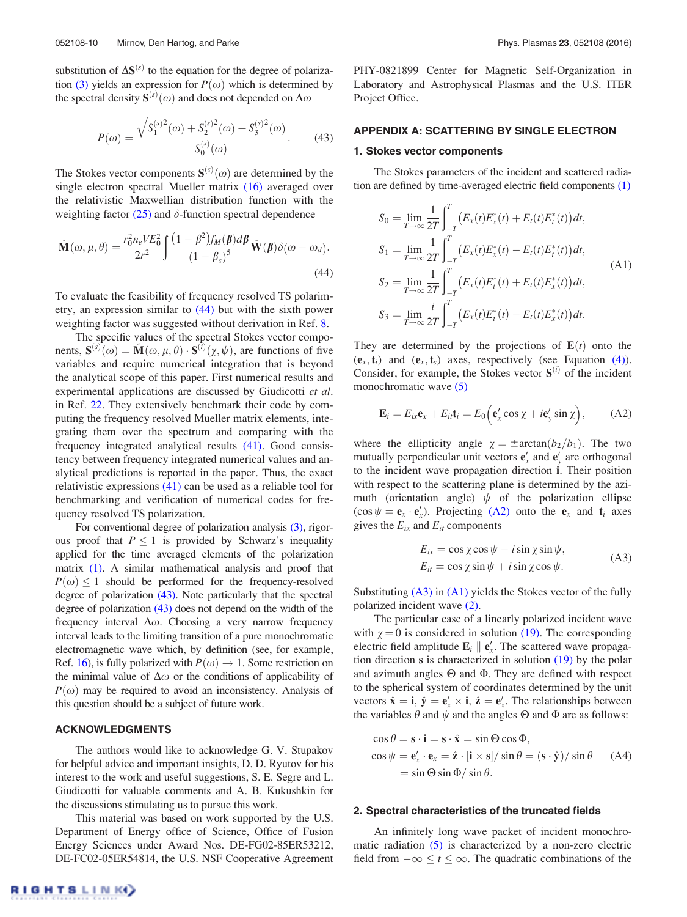<span id="page-10-0"></span>substitution of  $\Delta S^{(s)}$  to the equation for the degree of polariza-tion [\(3\)](#page-3-0) yields an expression for  $P(\omega)$  which is determined by the spectral density  $S^{(s)}(\omega)$  and does not depended on  $\Delta \omega$ 

$$
P(\omega) = \frac{\sqrt{S_1^{(s)2}(\omega) + S_2^{(s)2}(\omega) + S_3^{(s)2}(\omega)}}{S_0^{(s)}(\omega)}.
$$
 (43)

The Stokes vector components  $S^{(s)}(\omega)$  are determined by the single electron spectral Mueller matrix [\(16\)](#page-5-0) averaged over the relativistic Maxwellian distribution function with the weighting factor  $(25)$  and  $\delta$ -function spectral dependence

$$
\hat{\mathbf{M}}(\omega,\mu,\theta) = \frac{r_0^2 n_e V E_0^2}{2r^2} \int \frac{(1-\beta^2) f_M(\boldsymbol{\beta}) d\boldsymbol{\beta}}{(1-\beta_s)^5} \hat{\mathbf{W}}(\boldsymbol{\beta}) \delta(\omega - \omega_d). \tag{44}
$$

To evaluate the feasibility of frequency resolved TS polarimetry, an expression similar to (44) but with the sixth power weighting factor was suggested without derivation in Ref. [8.](#page-13-0)

The specific values of the spectral Stokes vector components,  $S^{(s)}(\omega) = \hat{M}(\omega, \mu, \theta) \cdot S^{(\tilde{i})}(\chi, \psi)$ , are functions of five variables and require numerical integration that is beyond the analytical scope of this paper. First numerical results and experimental applications are discussed by Giudicotti et al. in Ref. [22](#page-14-0). They extensively benchmark their code by computing the frequency resolved Mueller matrix elements, integrating them over the spectrum and comparing with the frequency integrated analytical results [\(41\).](#page-8-0) Good consistency between frequency integrated numerical values and analytical predictions is reported in the paper. Thus, the exact relativistic expressions [\(41\)](#page-8-0) can be used as a reliable tool for benchmarking and verification of numerical codes for frequency resolved TS polarization.

For conventional degree of polarization analysis [\(3\),](#page-3-0) rigorous proof that  $P \le 1$  is provided by Schwarz's inequality applied for the time averaged elements of the polarization matrix [\(1\)](#page-2-0). A similar mathematical analysis and proof that  $P(\omega) \leq 1$  should be performed for the frequency-resolved degree of polarization (43). Note particularly that the spectral degree of polarization (43) does not depend on the width of the frequency interval  $\Delta\omega$ . Choosing a very narrow frequency interval leads to the limiting transition of a pure monochromatic electromagnetic wave which, by definition (see, for example, Ref. [16](#page-13-0)), is fully polarized with  $P(\omega) \rightarrow 1$ . Some restriction on the minimal value of  $\Delta\omega$  or the conditions of applicability of  $P(\omega)$  may be required to avoid an inconsistency. Analysis of this question should be a subject of future work.

#### ACKNOWLEDGMENTS

The authors would like to acknowledge G. V. Stupakov for helpful advice and important insights, D. D. Ryutov for his interest to the work and useful suggestions, S. E. Segre and L. Giudicotti for valuable comments and A. B. Kukushkin for the discussions stimulating us to pursue this work.

This material was based on work supported by the U.S. Department of Energy office of Science, Office of Fusion Energy Sciences under Award Nos. DE-FG02-85ER53212, DE-FC02-05ER54814, the U.S. NSF Cooperative Agreement PHY-0821899 Center for Magnetic Self-Organization in Laboratory and Astrophysical Plasmas and the U.S. ITER Project Office.

## APPENDIX A: SCATTERING BY SINGLE ELECTRON

## 1. Stokes vector components

The Stokes parameters of the incident and scattered radiation are defined by time-averaged electric field components [\(1\)](#page-2-0)

$$
S_0 = \lim_{T \to \infty} \frac{1}{2T} \int_{-T}^{T} (E_x(t)E_x^*(t) + E_t(t)E_t^*(t))dt,
$$
  
\n
$$
S_1 = \lim_{T \to \infty} \frac{1}{2T} \int_{-T}^{T} (E_x(t)E_x^*(t) - E_t(t)E_t^*(t))dt,
$$
  
\n
$$
S_2 = \lim_{T \to \infty} \frac{1}{2T} \int_{-T}^{T} (E_x(t)E_t^*(t) + E_t(t)E_x^*(t))dt,
$$
  
\n
$$
S_3 = \lim_{T \to \infty} \frac{i}{2T} \int_{-T}^{T} (E_x(t)E_t^*(t) - E_t(t)E_x^*(t))dt.
$$
 (A1)

They are determined by the projections of  $E(t)$  onto the  $(e_x, t_i)$  and  $(e_x, t_s)$  axes, respectively (see Equation [\(4\)\)](#page-3-0). Consider, for example, the Stokes vector  $S^{(i)}$  of the incident monochromatic wave [\(5\)](#page-3-0)

$$
\mathbf{E}_i = E_{ix}\mathbf{e}_x + E_{it}\mathbf{t}_i = E_0\Big(\mathbf{e}'_x\cos\chi + i\mathbf{e}'_y\sin\chi\Big),\tag{A2}
$$

where the ellipticity angle  $\chi = \pm \arctan(b_2/b_1)$ . The two mutually perpendicular unit vectors  $\mathbf{e}'_x$  and  $\mathbf{e}'_y$  are orthogonal to the incident wave propagation direction i. Their position with respect to the scattering plane is determined by the azimuth (orientation angle)  $\psi$  of the polarization ellipse  $(\cos \psi = \mathbf{e}_x \cdot \mathbf{e}'_x)$ . Projecting (A2) onto the  $\mathbf{e}_x$  and  $\mathbf{t}_i$  axes gives the  $E_{ix}$  and  $E_{it}$  components

$$
E_{ix} = \cos \chi \cos \psi - i \sin \chi \sin \psi,
$$
  
\n
$$
E_{it} = \cos \chi \sin \psi + i \sin \chi \cos \psi.
$$
 (A3)

Substituting  $(A3)$  in  $(A1)$  yields the Stokes vector of the fully polarized incident wave [\(2\).](#page-3-0)

The particular case of a linearly polarized incident wave with  $\chi = 0$  is considered in solution [\(19\)](#page-5-0). The corresponding electric field amplitude  $\mathbf{E}_i \parallel \mathbf{e}'_x$ . The scattered wave propagation direction s is characterized in solution [\(19\)](#page-5-0) by the polar and azimuth angles  $\Theta$  and  $\Phi$ . They are defined with respect to the spherical system of coordinates determined by the unit vectors  $\hat{\mathbf{x}} = \mathbf{i}$ ,  $\hat{\mathbf{y}} = \mathbf{e}_x^{\prime} \times \mathbf{i}$ ,  $\hat{\mathbf{z}} = \mathbf{e}_x^{\prime}$ . The relationships between the variables  $\theta$  and  $\psi$  and the angles  $\Theta$  and  $\Phi$  are as follows:

$$
\cos \theta = \mathbf{s} \cdot \mathbf{i} = \mathbf{s} \cdot \hat{\mathbf{x}} = \sin \Theta \cos \Phi,
$$
  
\n
$$
\cos \psi = \mathbf{e}'_x \cdot \mathbf{e}_x = \hat{\mathbf{z}} \cdot [\mathbf{i} \times \mathbf{s}] / \sin \theta = (\mathbf{s} \cdot \hat{\mathbf{y}}) / \sin \theta
$$
 (A4)  
\n
$$
= \sin \Theta \sin \Phi / \sin \theta.
$$

#### 2. Spectral characteristics of the truncated fields

An infinitely long wave packet of incident monochromatic radiation  $(5)$  is characterized by a non-zero electric field from  $-\infty \le t \le \infty$ . The quadratic combinations of the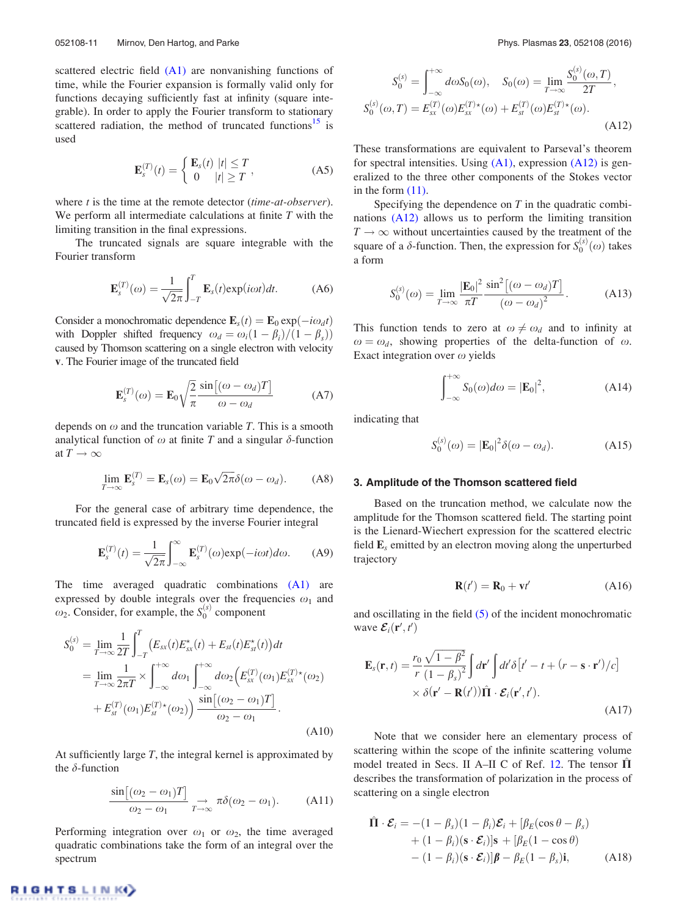<span id="page-11-0"></span>scattered electric field [\(A1\)](#page-10-0) are nonvanishing functions of time, while the Fourier expansion is formally valid only for functions decaying sufficiently fast at infinity (square integrable). In order to apply the Fourier transform to stationary scattered radiation, the method of truncated functions<sup>[15](#page-13-0)</sup> is used

$$
\mathbf{E}_s^{(T)}(t) = \begin{cases} \mathbf{E}_s(t) & |t| \le T \\ 0 & |t| \ge T \end{cases} \tag{A5}
$$

where *t* is the time at the remote detector (*time-at-observer*). We perform all intermediate calculations at finite  $T$  with the limiting transition in the final expressions.

The truncated signals are square integrable with the Fourier transform

$$
\mathbf{E}_s^{(T)}(\omega) = \frac{1}{\sqrt{2\pi}} \int_{-T}^T \mathbf{E}_s(t) \exp(i\omega t) dt.
$$
 (A6)

Consider a monochromatic dependence  $\mathbf{E}_s(t) = \mathbf{E}_0 \exp(-i\omega_d t)$ with Doppler shifted frequency  $\omega_d = \omega_i(1 - \beta_i)/(1 - \beta_s)$ caused by Thomson scattering on a single electron with velocity v. The Fourier image of the truncated field

$$
\mathbf{E}_s^{(T)}(\omega) = \mathbf{E}_0 \sqrt{\frac{2}{\pi}} \frac{\sin[(\omega - \omega_d)T]}{\omega - \omega_d} \tag{A7}
$$

depends on  $\omega$  and the truncation variable T. This is a smooth analytical function of  $\omega$  at finite T and a singular  $\delta$ -function at  $T \to \infty$ 

$$
\lim_{T \to \infty} \mathbf{E}_s^{(T)} = \mathbf{E}_s(\omega) = \mathbf{E}_0 \sqrt{2\pi} \delta(\omega - \omega_d). \tag{A8}
$$

For the general case of arbitrary time dependence, the truncated field is expressed by the inverse Fourier integral

$$
\mathbf{E}_s^{(T)}(t) = \frac{1}{\sqrt{2\pi}} \int_{-\infty}^{\infty} \mathbf{E}_s^{(T)}(\omega) \exp(-i\omega t) d\omega.
$$
 (A9)

The time averaged quadratic combinations [\(A1\)](#page-10-0) are expressed by double integrals over the frequencies  $\omega_1$  and  $\omega_2$ . Consider, for example, the  $S_0^{(s)}$  component

$$
S_0^{(s)} = \lim_{T \to \infty} \frac{1}{2T} \int_{-T}^{T} \left( E_{sx}(t) E_{sx}^{\star}(t) + E_{st}(t) E_{st}^{\star}(t) \right) dt
$$
  
\n
$$
= \lim_{T \to \infty} \frac{1}{2\pi T} \times \int_{-\infty}^{+\infty} d\omega_1 \int_{-\infty}^{+\infty} d\omega_2 \left( E_{sx}^{(T)}(\omega_1) E_{sx}^{(T)\star}(\omega_2) + E_{st}^{(T)}(\omega_1) E_{st}^{(T)\star}(\omega_2) \right) \frac{\sin[(\omega_2 - \omega_1)T]}{\omega_2 - \omega_1}.
$$
  
\n(A10)

At sufficiently large  $T$ , the integral kernel is approximated by the  $\delta$ -function

$$
\frac{\sin[(\omega_2 - \omega_1)T]}{\omega_2 - \omega_1} \underset{T \to \infty}{\to} \pi \delta(\omega_2 - \omega_1). \tag{A11}
$$

Performing integration over  $\omega_1$  or  $\omega_2$ , the time averaged quadratic combinations take the form of an integral over the spectrum

$$
S_0^{(s)} = \int_{-\infty}^{+\infty} d\omega S_0(\omega), \quad S_0(\omega) = \lim_{T \to \infty} \frac{S_0^{(s)}(\omega, T)}{2T},
$$
  

$$
S_0^{(s)}(\omega, T) = E_{sx}^{(T)}(\omega) E_{sx}^{(T)*}(\omega) + E_{st}^{(T)}(\omega) E_{st}^{(T)*}(\omega).
$$
(A12)

These transformations are equivalent to Parseval's theorem for spectral intensities. Using [\(A1\)](#page-10-0), expression (A12) is generalized to the three other components of the Stokes vector in the form  $(11)$ .

Specifying the dependence on  $T$  in the quadratic combinations (A12) allows us to perform the limiting transition  $T \rightarrow \infty$  without uncertainties caused by the treatment of the square of a  $\delta$ -function. Then, the expression for  $S_0^{(s)}(\omega)$  takes a form

$$
S_0^{(s)}(\omega) = \lim_{T \to \infty} \frac{|\mathbf{E}_0|^2 \sin^2[(\omega - \omega_d)T]}{\pi T \left(\omega - \omega_d\right)^2}.
$$
 (A13)

This function tends to zero at  $\omega \neq \omega_d$  and to infinity at  $\omega = \omega_d$ , showing properties of the delta-function of  $\omega$ . Exact integration over  $\omega$  yields

$$
\int_{-\infty}^{+\infty} S_0(\omega) d\omega = |\mathbf{E}_0|^2, \tag{A14}
$$

indicating that

$$
S_0^{(s)}(\omega) = |\mathbf{E}_0|^2 \delta(\omega - \omega_d). \tag{A15}
$$

#### 3. Amplitude of the Thomson scattered field

Based on the truncation method, we calculate now the amplitude for the Thomson scattered field. The starting point is the Lienard-Wiechert expression for the scattered electric field  $\mathbf{E}_s$  emitted by an electron moving along the unperturbed trajectory

$$
\mathbf{R}(t') = \mathbf{R}_0 + \mathbf{v}t' \tag{A16}
$$

and oscillating in the field [\(5\)](#page-3-0) of the incident monochromatic wave  $\mathcal{E}_i(\mathbf{r}', t')$ 

$$
\mathbf{E}_s(\mathbf{r},t) = \frac{r_0}{r} \frac{\sqrt{1-\beta^2}}{(1-\beta_s)^2} \int d\mathbf{r}' \int dt' \delta[t'-t+(r-\mathbf{s}\cdot\mathbf{r}')/c] \times \delta(\mathbf{r}'-\mathbf{R}(t'))\hat{\mathbf{\Pi}}\cdot\mathcal{E}_i(\mathbf{r}',t').
$$
\n(A17)

Note that we consider here an elementary process of scattering within the scope of the infinite scattering volume model treated in Secs. II A–II C of Ref. [12.](#page-13-0) The tensor  $\Pi$ describes the transformation of polarization in the process of scattering on a single electron

$$
\hat{\mathbf{\Pi}} \cdot \mathcal{E}_i = -(1 - \beta_s)(1 - \beta_i)\mathcal{E}_i + [\beta_E(\cos \theta - \beta_s)+ (1 - \beta_i)(\mathbf{s} \cdot \mathcal{E}_i)]\mathbf{s} + [\beta_E(1 - \cos \theta)- (1 - \beta_i)(\mathbf{s} \cdot \mathcal{E}_i)]\boldsymbol{\beta} - \beta_E(1 - \beta_s)\mathbf{i},
$$
 (A18)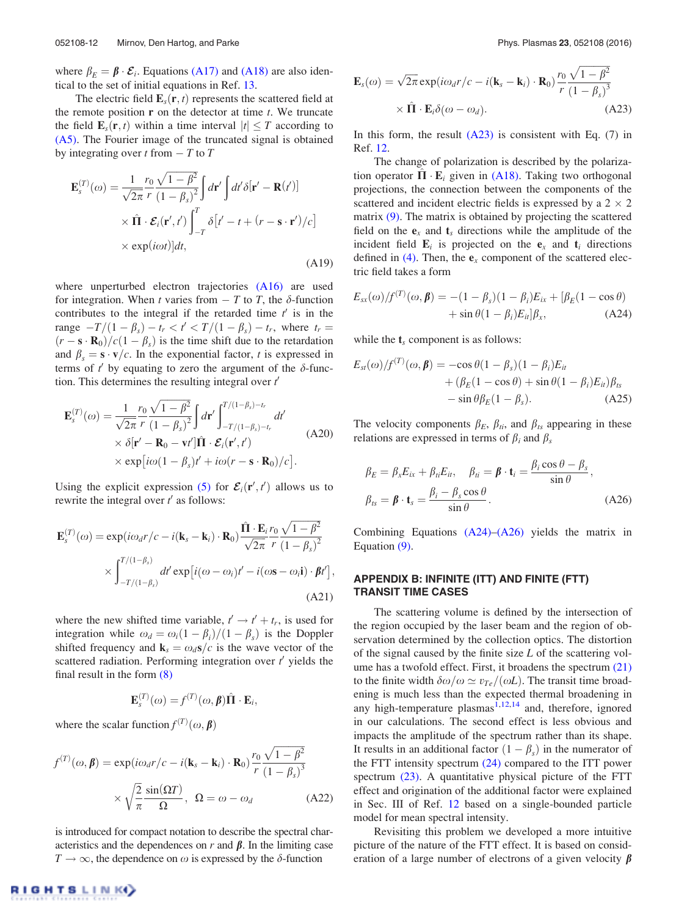<span id="page-12-0"></span>where  $\beta_F = \beta \cdot \mathcal{E}_i$ . Equations [\(A17\)](#page-11-0) and [\(A18\)](#page-11-0) are also identical to the set of initial equations in Ref. [13](#page-13-0).

The electric field  $\mathbf{E}_s(\mathbf{r}, t)$  represents the scattered field at the remote position  $\bf{r}$  on the detector at time  $t$ . We truncate the field  $\mathbf{E}_s(\mathbf{r}, t)$  within a time interval  $|t| \leq T$  according to [\(A5\).](#page-11-0) The Fourier image of the truncated signal is obtained by integrating over t from  $-T$  to  $T$ 

$$
\mathbf{E}_{s}^{(T)}(\omega) = \frac{1}{\sqrt{2\pi}} \frac{r_0}{r} \frac{\sqrt{1-\beta^2}}{(1-\beta_s)^2} \int d\mathbf{r}' \int dt' \delta[\mathbf{r}' - \mathbf{R}(t')] \times \hat{\mathbf{\Pi}} \cdot \mathcal{E}_i(\mathbf{r}', t') \int_{-T}^{T} \delta[t'-t+(r-s \cdot \mathbf{r}')/c] \times \exp(i\omega t)]dt,
$$
\n(A19)

where unperturbed electron trajectories [\(A16\)](#page-11-0) are used for integration. When t varies from  $-T$  to T, the  $\delta$ -function contributes to the integral if the retarded time  $t'$  is in the range  $-T/(1 - \beta_s) - t_r < t' < T/(1 - \beta_s) - t_r$ , where  $t_r =$  $(r - s \cdot \mathbf{R}_0)/c(1 - \beta_s)$  is the time shift due to the retardation and  $\beta_s = \mathbf{s} \cdot \mathbf{v}/c$ . In the exponential factor, t is expressed in terms of  $t'$  by equating to zero the argument of the  $\delta$ -function. This determines the resulting integral over  $t'$ 

$$
\mathbf{E}_{s}^{(T)}(\omega) = \frac{1}{\sqrt{2\pi}} \frac{r_0}{r} \frac{\sqrt{1-\beta^2}}{(1-\beta_s)^2} \int d\mathbf{r}' \int_{-T/(1-\beta_s)-t_r}^{T/(1-\beta_s)-t_r} dt' \times \delta[\mathbf{r}' - \mathbf{R}_0 - \mathbf{v}''] \hat{\mathbf{\Pi}} \cdot \mathcal{E}_i(\mathbf{r}', t') \times \exp[i\omega(1-\beta_s)t' + i\omega(r - \mathbf{s} \cdot \mathbf{R}_0)/c].
$$
\n(A20)

Using the explicit expression [\(5\)](#page-3-0) for  $\mathcal{E}_i(\mathbf{r}', t')$  allows us to rewrite the integral over  $t'$  as follows:

$$
\mathbf{E}_{s}^{(T)}(\omega) = \exp(i\omega_{d}r/c - i(\mathbf{k}_{s} - \mathbf{k}_{i}) \cdot \mathbf{R}_{0}) \frac{\hat{\mathbf{\Pi}} \cdot \mathbf{E}_{i} r_{0}}{\sqrt{2\pi}} \frac{\sqrt{1 - \beta^{2}}}{r} \times \int_{-T/(1 - \beta_{s})}^{T/(1 - \beta_{s})} dt' \exp[i(\omega - \omega_{i})t' - i(\omega \mathbf{s} - \omega_{i} \mathbf{i}) \cdot \beta t'],
$$
\n(A21)

where the new shifted time variable,  $t' \rightarrow t' + t_r$ , is used for integration while  $\omega_d = \omega_i(1 - \beta_i)/(1 - \beta_s)$  is the Doppler shifted frequency and  $\mathbf{k}_s = \omega_d \mathbf{s}/c$  is the wave vector of the scattered radiation. Performing integration over  $t'$  yields the final result in the form [\(8\)](#page-4-0)

$$
\mathbf{E}_s^{(T)}(\omega) = f^{(T)}(\omega, \boldsymbol{\beta})\hat{\mathbf{\Pi}} \cdot \mathbf{E}_i,
$$

where the scalar function  $f^{(T)}(\omega, \beta)$ 

$$
f^{(T)}(\omega, \beta) = \exp(i\omega_d r/c - i(\mathbf{k}_s - \mathbf{k}_i) \cdot \mathbf{R}_0) \frac{r_0}{r} \frac{\sqrt{1 - \beta^2}}{(1 - \beta_s)^3}
$$

$$
\times \sqrt{\frac{2}{\pi}} \frac{\sin(\Omega T)}{\Omega}, \ \Omega = \omega - \omega_d \tag{A22}
$$

is introduced for compact notation to describe the spectral characteristics and the dependences on  $r$  and  $\beta$ . In the limiting case  $T \to \infty$ , the dependence on  $\omega$  is expressed by the  $\delta$ -function

$$
\mathbf{E}_s(\omega) = \sqrt{2\pi} \exp(i\omega_d r/c - i(\mathbf{k}_s - \mathbf{k}_i) \cdot \mathbf{R}_0) \frac{r_0}{r} \frac{\sqrt{1 - \beta^2}}{(1 - \beta_s)^3} \times \hat{\mathbf{\Pi}} \cdot \mathbf{E}_i \delta(\omega - \omega_d). \tag{A23}
$$

In this form, the result  $(A23)$  is consistent with Eq. (7) in Ref. [12](#page-13-0).

The change of polarization is described by the polarization operator  $\hat{\Pi} \cdot \mathbf{E}_i$  given in [\(A18\).](#page-11-0) Taking two orthogonal projections, the connection between the components of the scattered and incident electric fields is expressed by a  $2 \times 2$ matrix [\(9\)](#page-4-0). The matrix is obtained by projecting the scattered field on the  $e_x$  and  $t_s$  directions while the amplitude of the incident field  $\mathbf{E}_i$  is projected on the  $\mathbf{e}_x$  and  $\mathbf{t}_i$  directions defined in [\(4\).](#page-3-0) Then, the  $e_x$  component of the scattered electric field takes a form

$$
E_{sx}(\omega)/f^{(T)}(\omega,\beta) = -(1-\beta_s)(1-\beta_i)E_{ix} + [\beta_E(1-\cos\theta) + \sin\theta(1-\beta_i)E_{ii}]\beta_x, \tag{A24}
$$

while the  $t_s$  component is as follows:

$$
E_{st}(\omega)/f^{(T)}(\omega,\beta) = -\cos\theta(1-\beta_s)(1-\beta_i)E_{it}
$$
  
 
$$
+ (\beta_E(1-\cos\theta) + \sin\theta(1-\beta_i)E_{it})\beta_{ts}
$$
  
 
$$
- \sin\theta\beta_E(1-\beta_s). \tag{A25}
$$

The velocity components  $\beta_E$ ,  $\beta_{ti}$ , and  $\beta_{ts}$  appearing in these relations are expressed in terms of  $\beta_i$  and  $\beta_s$ 

$$
\beta_E = \beta_x E_{ix} + \beta_{ii} E_{it}, \quad \beta_{ti} = \beta \cdot \mathbf{t}_i = \frac{\beta_i \cos \theta - \beta_s}{\sin \theta},
$$

$$
\beta_{ts} = \beta \cdot \mathbf{t}_s = \frac{\beta_i - \beta_s \cos \theta}{\sin \theta}.
$$
(A26)

Combining Equations  $(A24)$ – $(A26)$  yields the matrix in Equation [\(9\)](#page-4-0).

## APPENDIX B: INFINITE (ITT) AND FINITE (FTT) TRANSIT TIME CASES

The scattering volume is defined by the intersection of the region occupied by the laser beam and the region of observation determined by the collection optics. The distortion of the signal caused by the finite size L of the scattering volume has a twofold effect. First, it broadens the spectrum [\(21\)](#page-5-0) to the finite width  $\delta\omega/\omega \simeq v_{Te}/(\omega L)$ . The transit time broadening is much less than the expected thermal broadening in any high-temperature plasmas<sup>[1,12,14](#page-13-0)</sup> and, therefore, ignored in our calculations. The second effect is less obvious and impacts the amplitude of the spectrum rather than its shape. It results in an additional factor  $(1 - \beta_s)$  in the numerator of the FTT intensity spectrum  $(24)$  compared to the ITT power spectrum [\(23\).](#page-6-0) A quantitative physical picture of the FTT effect and origination of the additional factor were explained in Sec. III of Ref. [12](#page-13-0) based on a single-bounded particle model for mean spectral intensity.

Revisiting this problem we developed a more intuitive picture of the nature of the FTT effect. It is based on consideration of a large number of electrons of a given velocity  $\beta$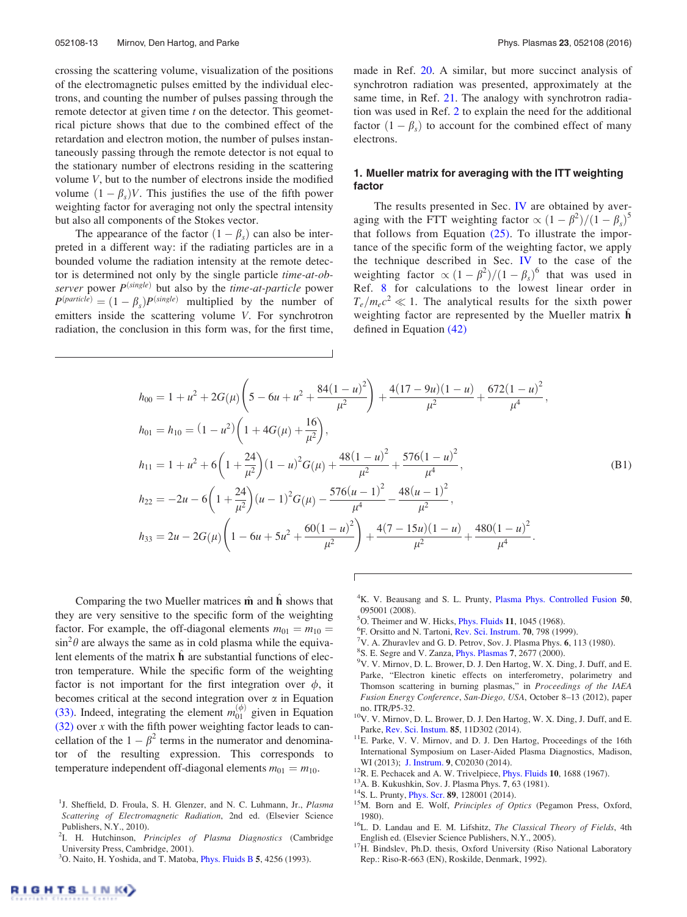<span id="page-13-0"></span>crossing the scattering volume, visualization of the positions of the electromagnetic pulses emitted by the individual electrons, and counting the number of pulses passing through the remote detector at given time  $t$  on the detector. This geometrical picture shows that due to the combined effect of the retardation and electron motion, the number of pulses instantaneously passing through the remote detector is not equal to the stationary number of electrons residing in the scattering volume V, but to the number of electrons inside the modified volume  $(1 - \beta_s)V$ . This justifies the use of the fifth power weighting factor for averaging not only the spectral intensity but also all components of the Stokes vector.

The appearance of the factor  $(1 - \beta_s)$  can also be interpreted in a different way: if the radiating particles are in a bounded volume the radiation intensity at the remote detector is determined not only by the single particle time-at-observer power  $P^{(single)}$  but also by the *time-at-particle* power  $P<sup>(particle)</sup> = (1 - \beta_s)P<sup>(single)</sup>$  multiplied by the number of emitters inside the scattering volume V. For synchrotron radiation, the conclusion in this form was, for the first time, made in Ref. [20.](#page-14-0) A similar, but more succinct analysis of synchrotron radiation was presented, approximately at the same time, in Ref. [21](#page-14-0). The analogy with synchrotron radiation was used in Ref. 2 to explain the need for the additional factor  $(1 - \beta_s)$  to account for the combined effect of many electrons.

## 1. Mueller matrix for averaging with the ITT weighting factor

The results presented in Sec. [IV](#page-6-0) are obtained by averaging with the FTT weighting factor  $\propto (1 - \beta^2)/(1 - \beta_s)^5$ that follows from Equation  $(25)$ . To illustrate the importance of the specific form of the weighting factor, we apply the technique described in Sec. [IV](#page-6-0) to the case of the weighting factor  $\propto (1 - \beta^2)/(1 - \beta_s)^6$  that was used in Ref. 8 for calculations to the lowest linear order in  $T_e/m_ec^2 \ll 1$ . The analytical results for the sixth power weighting factor are represented by the Mueller matrix  $\hat{\mathbf{h}}$ defined in Equation [\(42\)](#page-9-0)

$$
h_{00} = 1 + u^2 + 2G(\mu) \left( 5 - 6u + u^2 + \frac{84(1 - u)^2}{\mu^2} \right) + \frac{4(17 - 9u)(1 - u)}{\mu^2} + \frac{672(1 - u)^2}{\mu^4},
$$
  
\n
$$
h_{01} = h_{10} = (1 - u^2) \left( 1 + 4G(\mu) + \frac{16}{\mu^2} \right),
$$
  
\n
$$
h_{11} = 1 + u^2 + 6 \left( 1 + \frac{24}{\mu^2} \right) (1 - u)^2 G(\mu) + \frac{48(1 - u)^2}{\mu^2} + \frac{576(1 - u)^2}{\mu^4},
$$
  
\n
$$
h_{22} = -2u - 6 \left( 1 + \frac{24}{\mu^2} \right) (u - 1)^2 G(\mu) - \frac{576(u - 1)^2}{\mu^4} - \frac{48(u - 1)^2}{\mu^2},
$$
  
\n
$$
h_{33} = 2u - 2G(\mu) \left( 1 - 6u + 5u^2 + \frac{60(1 - u)^2}{\mu^2} \right) + \frac{4(7 - 15u)(1 - u)}{\mu^2} + \frac{480(1 - u)^2}{\mu^4}.
$$
  
\n(B1)

ſ

Comparing the two Mueller matrices  $\hat{\mathbf{m}}$  and  $\hat{\mathbf{h}}$  shows that they are very sensitive to the specific form of the weighting factor. For example, the off-diagonal elements  $m_{01} = m_{10} =$  $\sin^2\theta$  are always the same as in cold plasma while the equivalent elements of the matrix  $\hat{\mathbf{h}}$  are substantial functions of electron temperature. While the specific form of the weighting factor is not important for the first integration over  $\phi$ , it becomes critical at the second integration over  $\alpha$  in Equation [\(33\)](#page-7-0). Indeed, integrating the element  $m_{01}^{(\phi)}$  given in Equation  $(32)$  over x with the fifth power weighting factor leads to cancellation of the  $1 - \beta^2$  terms in the numerator and denominator of the resulting expression. This corresponds to temperature independent off-diagonal elements  $m_{01} = m_{10}$ .

- <sup>4</sup>K. V. Beausang and S. L. Prunty, [Plasma Phys. Controlled Fusion](http://dx.doi.org/10.1088/0741-3335/50/9/095001) 50, 095001 (2008).
- <sup>5</sup>O. Theimer and W. Hicks, *[Phys. Fluids](http://dx.doi.org/10.1063/1.1692039)* 11, 1045 (1968).
- ${}^{6}$ F. Orsitto and N. Tartoni, [Rev. Sci. Instrum.](http://dx.doi.org/10.1063/1.1149414) 70, 798 (1999).
- $\sqrt{7}V$ . A. Zhuravlev and G. D. Petrov, Sov. J. Plasma Phys. 6, 113 (1980).
- <sup>8</sup>S. E. Segre and V. Zanza, *[Phys. Plasmas](http://dx.doi.org/10.1063/1.874110)* 7, 2677 (2000).
- <sup>9</sup>V. V. Mirnov, D. L. Brower, D. J. Den Hartog, W. X. Ding, J. Duff, and E. Parke, "Electron kinetic effects on interferometry, polarimetry and Thomson scattering in burning plasmas," in Proceedings of the IAEA Fusion Energy Conference, San-Diego, USA, October 8–13 (2012), paper no. ITR/P5-32.
- <sup>10</sup>V. V. Mirnov, D. L. Brower, D. J. Den Hartog, W. X. Ding, J. Duff, and E.
- Parke, [Rev. Sci. Instum.](http://dx.doi.org/10.1063/1.4891176) 85, 11D302 (2014). <sup>11</sup>E. Parke, V. V. Mirnov, and D. J. Den Hartog, Proceedings of the 16th International Symposium on Laser-Aided Plasma Diagnostics, Madison,
- 
- 
- 
- WI (2013); [J. Instrum.](http://dx.doi.org/10.1088/1748-0221/9/02/C02030) 9, C02030 (2014).<br><sup>12</sup>R. E. Pechacek and A. W. Trivelpiece, [Phys. Fluids](http://dx.doi.org/10.1063/1.1762347) 10, 1688 (1967).<br><sup>13</sup>A. B. Kukushkin, Sov. J. Plasma Phys. 7, 63 (1981).<br><sup>14</sup>S. L. Prunty, [Phys. Scr.](http://dx.doi.org/10.1088/0031-8949/89/12/128001) **89**, 128001 (2014).<br><sup>15</sup>

<sup>17</sup>H. Bindslev, Ph.D. thesis, Oxford University (Riso National Laboratory Rep.: Riso-R-663 (EN), Roskilde, Denmark, 1992).

<sup>&</sup>lt;sup>1</sup>J. Sheffield, D. Froula, S. H. Glenzer, and N. C. Luhmann, Jr., Plasma Scattering of Electromagnetic Radiation, 2nd ed. (Elsevier Science Publishers, N.Y., 2010).

<sup>&</sup>lt;sup>2</sup>I. H. Hutchinson, Principles of Plasma Diagnostics (Cambridge University Press, Cambridge, 2001).

<sup>&</sup>lt;sup>3</sup>O. Naito, H. Yoshida, and T. Matoba, *[Phys. Fluids B](http://dx.doi.org/10.1063/1.860593)* 5, 4256 (1993).

<sup>&</sup>lt;sup>16</sup>L. D. Landau and E. M. Lifshitz, *The Classical Theory of Fields*, 4th English ed. (Elsevier Science Publishers, N.Y., 2005).